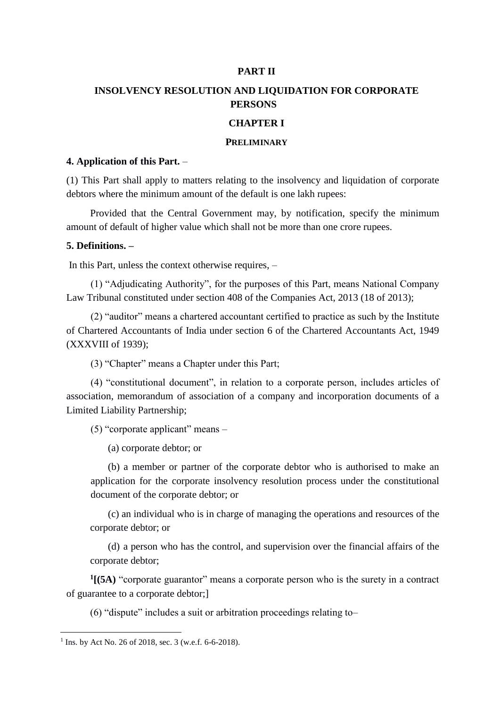#### **PART II**

# **INSOLVENCY RESOLUTION AND LIQUIDATION FOR CORPORATE PERSONS**

#### **CHAPTER I**

# **PRELIMINARY**

# **4. Application of this Part.** –

(1) This Part shall apply to matters relating to the insolvency and liquidation of corporate debtors where the minimum amount of the default is one lakh rupees:

Provided that the Central Government may, by notification, specify the minimum amount of default of higher value which shall not be more than one crore rupees.

## **5. Definitions. –**

In this Part, unless the context otherwise requires, –

(1) "Adjudicating Authority", for the purposes of this Part, means National Company Law Tribunal constituted under section 408 of the Companies Act, 2013 (18 of 2013);

(2) "auditor" means a chartered accountant certified to practice as such by the Institute of Chartered Accountants of India under section 6 of the Chartered Accountants Act, 1949 (XXXVIII of 1939);

(3) "Chapter" means a Chapter under this Part;

 (4) "constitutional document", in relation to a corporate person, includes articles of association, memorandum of association of a company and incorporation documents of a Limited Liability Partnership;

(5) "corporate applicant" means –

(a) corporate debtor; or

(b) a member or partner of the corporate debtor who is authorised to make an application for the corporate insolvency resolution process under the constitutional document of the corporate debtor; or

(c) an individual who is in charge of managing the operations and resources of the corporate debtor; or

(d) a person who has the control, and supervision over the financial affairs of the corporate debtor;

**1 [(5A)** "corporate guarantor" means a corporate person who is the surety in a contract of guarantee to a corporate debtor;]

(6) "dispute" includes a suit or arbitration proceedings relating to–

<sup>1</sup> Ins. by Act No. 26 of 2018, sec. 3 (w.e.f. 6-6-2018).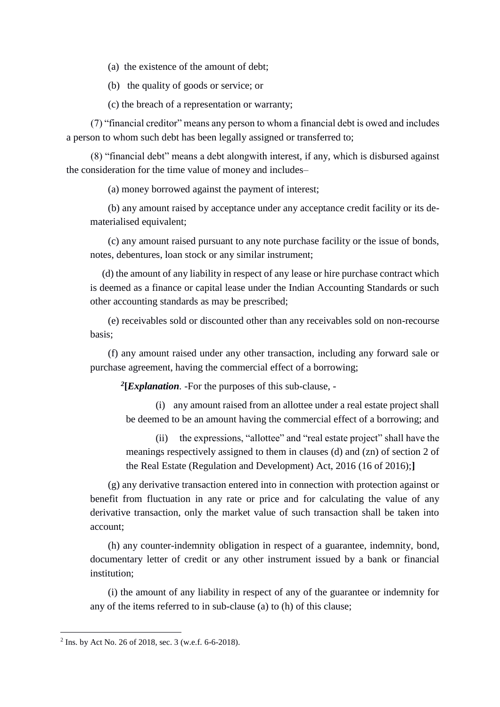(a) the existence of the amount of debt;

(b) the quality of goods or service; or

(c) the breach of a representation or warranty;

(7) "financial creditor" means any person to whom a financial debt is owed and includes a person to whom such debt has been legally assigned or transferred to;

(8) "financial debt" means a debt alongwith interest, if any, which is disbursed against the consideration for the time value of money and includes–

(a) money borrowed against the payment of interest;

(b) any amount raised by acceptance under any acceptance credit facility or its dematerialised equivalent;

(c) any amount raised pursuant to any note purchase facility or the issue of bonds, notes, debentures, loan stock or any similar instrument;

(d) the amount of any liability in respect of any lease or hire purchase contract which is deemed as a finance or capital lease under the Indian Accounting Standards or such other accounting standards as may be prescribed;

(e) receivables sold or discounted other than any receivables sold on non-recourse basis;

(f) any amount raised under any other transaction, including any forward sale or purchase agreement, having the commercial effect of a borrowing;

*2* **[***Explanation. -*For the purposes of this sub-clause, -

(i) any amount raised from an allottee under a real estate project shall be deemed to be an amount having the commercial effect of a borrowing; and

(ii) the expressions, "allottee" and "real estate project" shall have the meanings respectively assigned to them in clauses (d) and (zn) of section 2 of the Real Estate (Regulation and Development) Act, 2016 (16 of 2016);**]**

(g) any derivative transaction entered into in connection with protection against or benefit from fluctuation in any rate or price and for calculating the value of any derivative transaction, only the market value of such transaction shall be taken into account;

(h) any counter-indemnity obligation in respect of a guarantee, indemnity, bond, documentary letter of credit or any other instrument issued by a bank or financial institution;

(i) the amount of any liability in respect of any of the guarantee or indemnity for any of the items referred to in sub-clause (a) to (h) of this clause;

<sup>2</sup> Ins. by Act No. 26 of 2018, sec. 3 (w.e.f. 6-6-2018).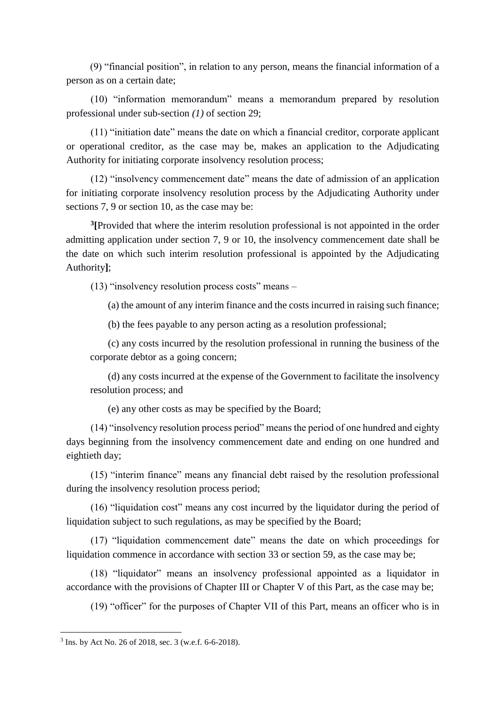(9) "financial position", in relation to any person, means the financial information of a person as on a certain date;

(10) "information memorandum" means a memorandum prepared by resolution professional under sub-section *(1)* of section 29;

(11) "initiation date" means the date on which a financial creditor, corporate applicant or operational creditor, as the case may be, makes an application to the Adjudicating Authority for initiating corporate insolvency resolution process;

(12) "insolvency commencement date" means the date of admission of an application for initiating corporate insolvency resolution process by the Adjudicating Authority under sections 7, 9 or section 10, as the case may be:

**3 [**Provided that where the interim resolution professional is not appointed in the order admitting application under section 7, 9 or 10, the insolvency commencement date shall be the date on which such interim resolution professional is appointed by the Adjudicating Authority**]**;

 $(13)$  "insolvency resolution process costs" means –

(a) the amount of any interim finance and the costs incurred in raising such finance;

(b) the fees payable to any person acting as a resolution professional;

(c) any costs incurred by the resolution professional in running the business of the corporate debtor as a going concern;

(d) any costs incurred at the expense of the Government to facilitate the insolvency resolution process; and

(e) any other costs as may be specified by the Board;

(14) "insolvency resolution process period" means the period of one hundred and eighty days beginning from the insolvency commencement date and ending on one hundred and eightieth day;

(15) "interim finance" means any financial debt raised by the resolution professional during the insolvency resolution process period;

(16) "liquidation cost" means any cost incurred by the liquidator during the period of liquidation subject to such regulations, as may be specified by the Board;

(17) "liquidation commencement date" means the date on which proceedings for liquidation commence in accordance with section 33 or section 59, as the case may be;

(18) "liquidator" means an insolvency professional appointed as a liquidator in accordance with the provisions of Chapter III or Chapter V of this Part, as the case may be;

(19) "officer" for the purposes of Chapter VII of this Part, means an officer who is in

<sup>3</sup> Ins. by Act No. 26 of 2018, sec. 3 (w.e.f. 6-6-2018).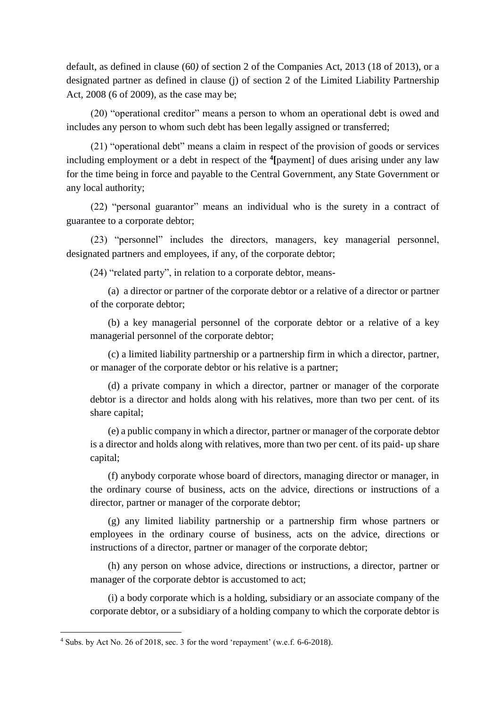default, as defined in clause (60*)* of section 2 of the Companies Act, 2013 (18 of 2013), or a designated partner as defined in clause (j) of section 2 of the Limited Liability Partnership Act, 2008 (6 of 2009), as the case may be;

(20) "operational creditor" means a person to whom an operational debt is owed and includes any person to whom such debt has been legally assigned or transferred;

(21) "operational debt" means a claim in respect of the provision of goods or services including employment or a debt in respect of the **<sup>4</sup> [**payment] of dues arising under any law for the time being in force and payable to the Central Government, any State Government or any local authority;

(22) "personal guarantor" means an individual who is the surety in a contract of guarantee to a corporate debtor;

(23) "personnel" includes the directors, managers, key managerial personnel, designated partners and employees, if any, of the corporate debtor;

(24) "related party", in relation to a corporate debtor, means-

(a) a director or partner of the corporate debtor or a relative of a director or partner of the corporate debtor;

(b) a key managerial personnel of the corporate debtor or a relative of a key managerial personnel of the corporate debtor;

(c) a limited liability partnership or a partnership firm in which a director, partner, or manager of the corporate debtor or his relative is a partner;

(d) a private company in which a director, partner or manager of the corporate debtor is a director and holds along with his relatives, more than two per cent. of its share capital;

(e) a public company in which a director, partner or manager of the corporate debtor is a director and holds along with relatives, more than two per cent. of its paid- up share capital;

(f) anybody corporate whose board of directors, managing director or manager, in the ordinary course of business, acts on the advice, directions or instructions of a director, partner or manager of the corporate debtor;

(g) any limited liability partnership or a partnership firm whose partners or employees in the ordinary course of business, acts on the advice, directions or instructions of a director, partner or manager of the corporate debtor;

(h) any person on whose advice, directions or instructions, a director, partner or manager of the corporate debtor is accustomed to act;

(i) a body corporate which is a holding, subsidiary or an associate company of the corporate debtor, or a subsidiary of a holding company to which the corporate debtor is

<sup>4</sup> Subs. by Act No. 26 of 2018, sec. 3 for the word 'repayment' (w.e.f. 6-6-2018).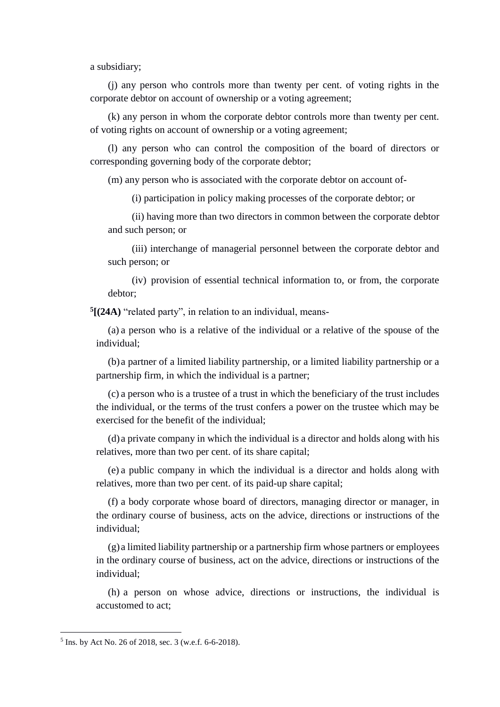a subsidiary;

(j) any person who controls more than twenty per cent. of voting rights in the corporate debtor on account of ownership or a voting agreement;

(k) any person in whom the corporate debtor controls more than twenty per cent. of voting rights on account of ownership or a voting agreement;

(l) any person who can control the composition of the board of directors or corresponding governing body of the corporate debtor;

(m) any person who is associated with the corporate debtor on account of-

(i) participation in policy making processes of the corporate debtor; or

(ii) having more than two directors in common between the corporate debtor and such person; or

(iii) interchange of managerial personnel between the corporate debtor and such person; or

(iv) provision of essential technical information to, or from, the corporate debtor;

**5 [(24A)** "related party", in relation to an individual, means-

(a) a person who is a relative of the individual or a relative of the spouse of the individual;

(b) a partner of a limited liability partnership, or a limited liability partnership or a partnership firm, in which the individual is a partner;

(c) a person who is a trustee of a trust in which the beneficiary of the trust includes the individual, or the terms of the trust confers a power on the trustee which may be exercised for the benefit of the individual;

(d) a private company in which the individual is a director and holds along with his relatives, more than two per cent. of its share capital;

(e) a public company in which the individual is a director and holds along with relatives, more than two per cent. of its paid-up share capital;

(f) a body corporate whose board of directors, managing director or manager, in the ordinary course of business, acts on the advice, directions or instructions of the individual;

(g) a limited liability partnership or a partnership firm whose partners or employees in the ordinary course of business, act on the advice, directions or instructions of the individual;

(h) a person on whose advice, directions or instructions, the individual is accustomed to act;

<sup>5</sup> Ins. by Act No. 26 of 2018, sec. 3 (w.e.f. 6-6-2018).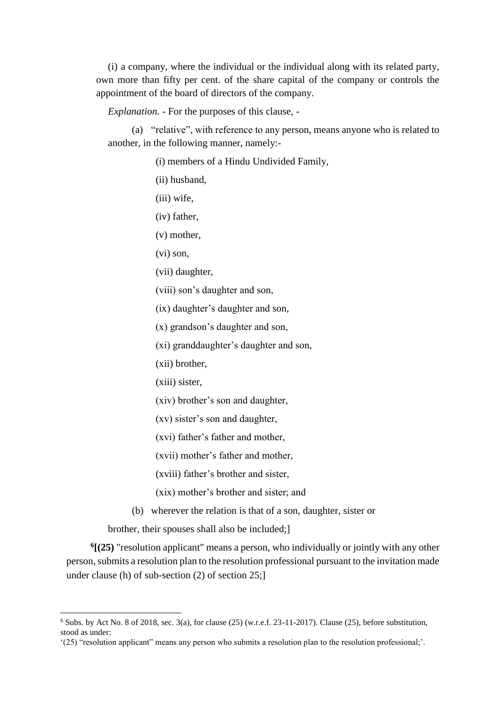(i) a company, where the individual or the individual along with its related party, own more than fifty per cent. of the share capital of the company or controls the appointment of the board of directors of the company.

*Explanation. -* For the purposes of this clause, -

(a) "relative", with reference to any person, means anyone who is related to another, in the following manner, namely:-

(i) members of a Hindu Undivided Family,

(ii) husband,

(iii) wife,

(iv) father,

(v) mother,

(vi) son,

(vii) daughter,

(viii) son's daughter and son,

(ix) daughter's daughter and son,

(x) grandson's daughter and son,

(xi) granddaughter's daughter and son,

(xii) brother,

(xiii) sister,

(xiv) brother's son and daughter,

(xv) sister's son and daughter,

(xvi) father's father and mother,

(xvii) mother's father and mother,

(xviii) father's brother and sister,

(xix) mother's brother and sister; and

(b) wherever the relation is that of a son, daughter, sister or

brother, their spouses shall also be included;]

<u>.</u>

**6 [(25)** "resolution applicant" means a person, who individually or jointly with any other person, submits a resolution plan to the resolution professional pursuant to the invitation made under clause (h) of sub-section (2) of section 25;]

 $6$  Subs. by Act No. 8 of 2018, sec. 3(a), for clause (25) (w.r.e.f. 23-11-2017). Clause (25), before substitution, stood as under:

<sup>&#</sup>x27;(25) "resolution applicant" means any person who submits a resolution plan to the resolution professional;'.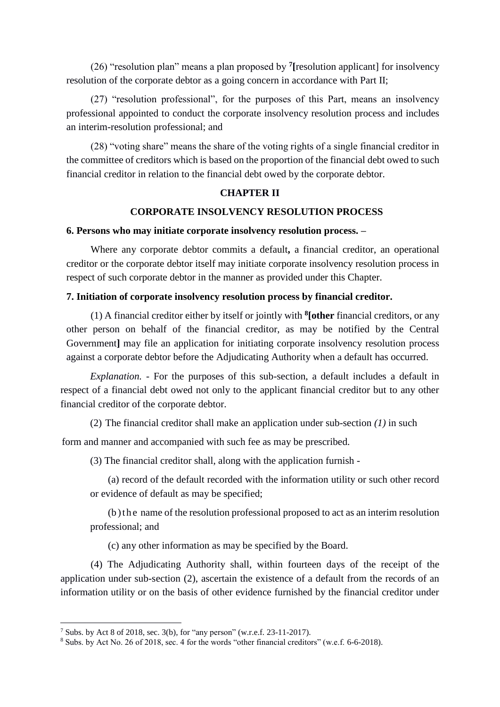(26) "resolution plan" means a plan proposed by **<sup>7</sup> [**resolution applicant] for insolvency resolution of the corporate debtor as a going concern in accordance with Part II;

(27) "resolution professional", for the purposes of this Part, means an insolvency professional appointed to conduct the corporate insolvency resolution process and includes an interim-resolution professional; and

(28) "voting share" means the share of the voting rights of a single financial creditor in the committee of creditors which is based on the proportion of the financial debt owed to such financial creditor in relation to the financial debt owed by the corporate debtor.

#### **CHAPTER II**

## **CORPORATE INSOLVENCY RESOLUTION PROCESS**

#### **6. Persons who may initiate corporate insolvency resolution process. –**

Where any corporate debtor commits a default**,** a financial creditor, an operational creditor or the corporate debtor itself may initiate corporate insolvency resolution process in respect of such corporate debtor in the manner as provided under this Chapter.

#### **7. Initiation of corporate insolvency resolution process by financial creditor.**

(1) A financial creditor either by itself or jointly with **<sup>8</sup> [other** financial creditors, or any other person on behalf of the financial creditor, as may be notified by the Central Government**]** may file an application for initiating corporate insolvency resolution process against a corporate debtor before the Adjudicating Authority when a default has occurred.

*Explanation.* - For the purposes of this sub-section, a default includes a default in respect of a financial debt owed not only to the applicant financial creditor but to any other financial creditor of the corporate debtor.

(2) The financial creditor shall make an application under sub-section *(1)* in such

form and manner and accompanied with such fee as may be prescribed.

(3) The financial creditor shall, along with the application furnish -

(a) record of the default recorded with the information utility or such other record or evidence of default as may be specified;

 $(b)$  the name of the resolution professional proposed to act as an interim resolution professional; and

(c) any other information as may be specified by the Board.

(4) The Adjudicating Authority shall, within fourteen days of the receipt of the application under sub-section (2), ascertain the existence of a default from the records of an information utility or on the basis of other evidence furnished by the financial creditor under

<sup>7</sup> Subs. by Act 8 of 2018, sec. 3(b), for "any person" (w.r.e.f. 23-11-2017).

<sup>8</sup> Subs. by Act No. 26 of 2018, sec. 4 for the words "other financial creditors" (w.e.f. 6-6-2018).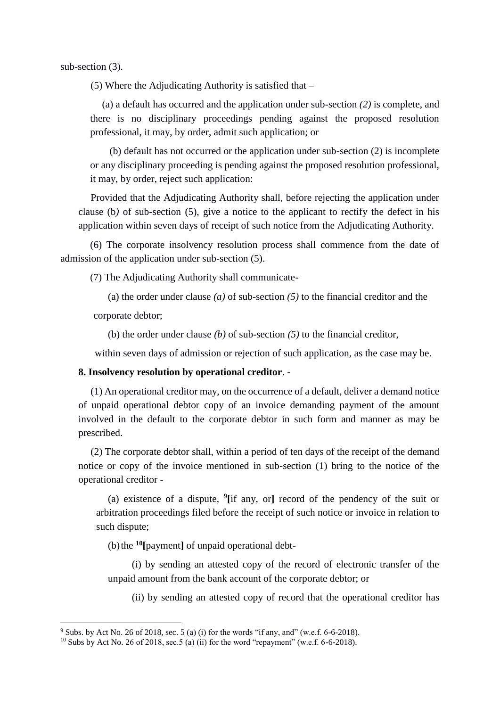sub-section (3).

(5) Where the Adjudicating Authority is satisfied that –

(a) a default has occurred and the application under sub-section *(2)* is complete, and there is no disciplinary proceedings pending against the proposed resolution professional, it may, by order, admit such application; or

 (b) default has not occurred or the application under sub-section (2) is incomplete or any disciplinary proceeding is pending against the proposed resolution professional, it may, by order, reject such application:

Provided that the Adjudicating Authority shall, before rejecting the application under clause (b*)* of sub-section (5), give a notice to the applicant to rectify the defect in his application within seven days of receipt of such notice from the Adjudicating Authority.

(6) The corporate insolvency resolution process shall commence from the date of admission of the application under sub-section (5).

(7) The Adjudicating Authority shall communicate-

(a) the order under clause *(a)* of sub-section *(5)* to the financial creditor and the

corporate debtor;

1

(b) the order under clause *(b)* of sub-section *(5)* to the financial creditor,

within seven days of admission or rejection of such application, as the case may be.

#### **8. Insolvency resolution by operational creditor**. -

(1) An operational creditor may, on the occurrence of a default, deliver a demand notice of unpaid operational debtor copy of an invoice demanding payment of the amount involved in the default to the corporate debtor in such form and manner as may be prescribed.

(2) The corporate debtor shall, within a period of ten days of the receipt of the demand notice or copy of the invoice mentioned in sub-section (1) bring to the notice of the operational creditor -

(a) existence of a dispute, **<sup>9</sup> [**if any, or**]** record of the pendency of the suit or arbitration proceedings filed before the receipt of such notice or invoice in relation to such dispute;

(b)the **<sup>10</sup>[**payment**]** of unpaid operational debt-

(i) by sending an attested copy of the record of electronic transfer of the unpaid amount from the bank account of the corporate debtor; or

(ii) by sending an attested copy of record that the operational creditor has

 $9$  Subs. by Act No. 26 of 2018, sec. 5 (a) (i) for the words "if any, and" (w.e.f. 6-6-2018).

<sup>&</sup>lt;sup>10</sup> Subs by Act No. 26 of 2018, sec.5 (a) (ii) for the word "repayment" (w.e.f. 6-6-2018).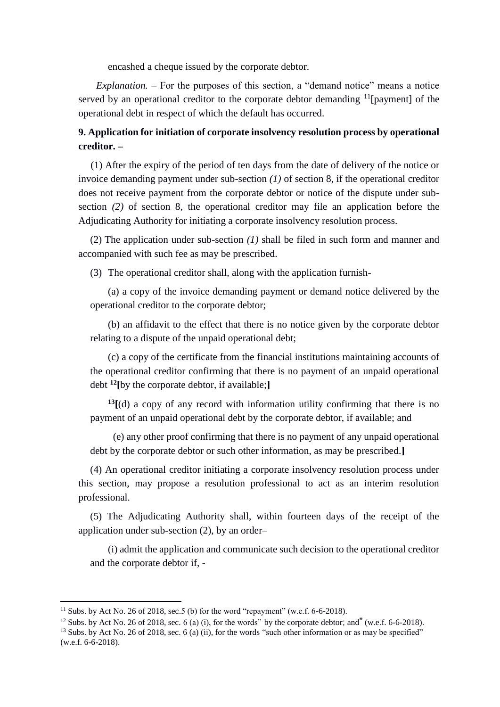encashed a cheque issued by the corporate debtor.

*Explanation.* – For the purposes of this section, a "demand notice" means a notice served by an operational creditor to the corporate debtor demanding  $11$ [payment] of the operational debt in respect of which the default has occurred.

# **9. Application for initiation of corporate insolvency resolution process by operational creditor. –**

(1) After the expiry of the period of ten days from the date of delivery of the notice or invoice demanding payment under sub-section *(1)* of section 8, if the operational creditor does not receive payment from the corporate debtor or notice of the dispute under subsection *(2)* of section 8, the operational creditor may file an application before the Adjudicating Authority for initiating a corporate insolvency resolution process.

(2) The application under sub-section *(1)* shall be filed in such form and manner and accompanied with such fee as may be prescribed.

(3) The operational creditor shall, along with the application furnish-

(a) a copy of the invoice demanding payment or demand notice delivered by the operational creditor to the corporate debtor;

(b) an affidavit to the effect that there is no notice given by the corporate debtor relating to a dispute of the unpaid operational debt;

(c) a copy of the certificate from the financial institutions maintaining accounts of the operational creditor confirming that there is no payment of an unpaid operational debt **<sup>12</sup>[**by the corporate debtor, if available;**]**

**<sup>13</sup>[**(d) a copy of any record with information utility confirming that there is no payment of an unpaid operational debt by the corporate debtor, if available; and

 (e) any other proof confirming that there is no payment of any unpaid operational debt by the corporate debtor or such other information, as may be prescribed.**]**

(4) An operational creditor initiating a corporate insolvency resolution process under this section, may propose a resolution professional to act as an interim resolution professional.

(5) The Adjudicating Authority shall, within fourteen days of the receipt of the application under sub-section (2), by an order–

(i) admit the application and communicate such decision to the operational creditor and the corporate debtor if, -

<sup>&</sup>lt;sup>11</sup> Subs. by Act No. 26 of 2018, sec.5 (b) for the word "repayment" (w.e.f.  $6-6-2018$ ).

<sup>&</sup>lt;sup>12</sup> Subs. by Act No. 26 of 2018, sec. 6 (a) (i), for the words" by the corporate debtor; and" (w.e.f. 6-6-2018). <sup>13</sup> Subs. by Act No. 26 of 2018, sec. 6 (a) (ii), for the words "such other information or as may be specified"

<sup>(</sup>w.e.f. 6-6-2018).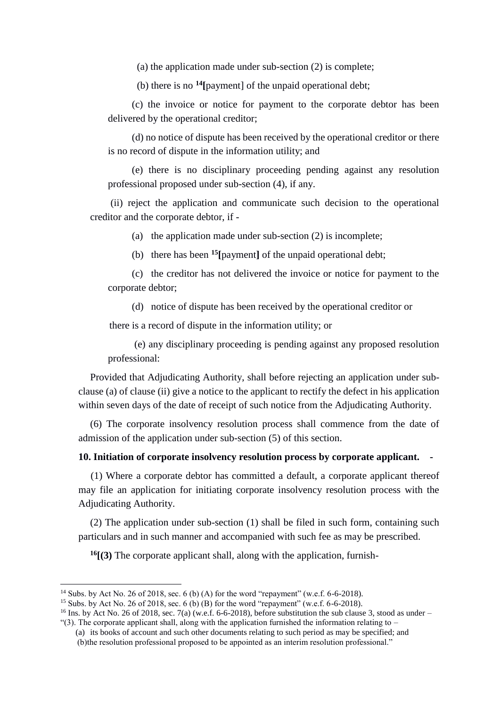(a) the application made under sub-section (2) is complete;

(b) there is no **<sup>14</sup>[**payment] of the unpaid operational debt;

(c) the invoice or notice for payment to the corporate debtor has been delivered by the operational creditor;

(d) no notice of dispute has been received by the operational creditor or there is no record of dispute in the information utility; and

(e) there is no disciplinary proceeding pending against any resolution professional proposed under sub-section (4), if any.

(ii) reject the application and communicate such decision to the operational creditor and the corporate debtor, if -

(a) the application made under sub-section (2) is incomplete;

(b) there has been **<sup>15</sup>[**payment**]** of the unpaid operational debt;

(c) the creditor has not delivered the invoice or notice for payment to the corporate debtor;

(d) notice of dispute has been received by the operational creditor or

there is a record of dispute in the information utility; or

(e) any disciplinary proceeding is pending against any proposed resolution professional:

 Provided that Adjudicating Authority, shall before rejecting an application under subclause (a) of clause (ii) give a notice to the applicant to rectify the defect in his application within seven days of the date of receipt of such notice from the Adjudicating Authority.

(6) The corporate insolvency resolution process shall commence from the date of admission of the application under sub-section (5) of this section.

#### **10. Initiation of corporate insolvency resolution process by corporate applicant. -**

(1) Where a corporate debtor has committed a default, a corporate applicant thereof may file an application for initiating corporate insolvency resolution process with the Adjudicating Authority.

(2) The application under sub-section (1) shall be filed in such form, containing such particulars and in such manner and accompanied with such fee as may be prescribed.

**<sup>16</sup>[(3)** The corporate applicant shall, along with the application, furnish-

<sup>&</sup>lt;sup>14</sup> Subs. by Act No. 26 of 2018, sec. 6 (b) (A) for the word "repayment" (w.e.f. 6-6-2018).

<sup>&</sup>lt;sup>15</sup> Subs. by Act No. 26 of 2018, sec. 6 (b) (B) for the word "repayment" (w.e.f. 6-6-2018).

<sup>&</sup>lt;sup>16</sup> Ins. by Act No. 26 of 2018, sec. 7(a) (w.e.f. 6-6-2018), before substitution the sub clause 3, stood as under – "(3). The corporate applicant shall, along with the application furnished the information relating to  $-$ 

<sup>(</sup>a) its books of account and such other documents relating to such period as may be specified; and (b)the resolution professional proposed to be appointed as an interim resolution professional."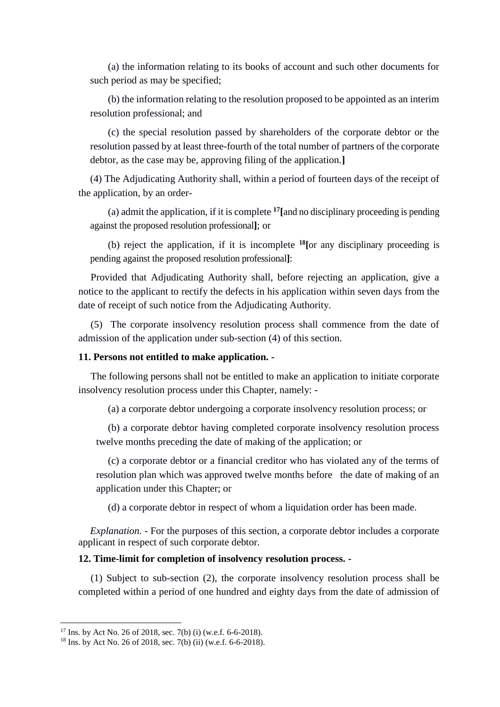(a) the information relating to its books of account and such other documents for such period as may be specified;

(b) the information relating to the resolution proposed to be appointed as an interim resolution professional; and

(c) the special resolution passed by shareholders of the corporate debtor or the resolution passed by at least three-fourth of the total number of partners of the corporate debtor, as the case may be, approving filing of the application.**]**

(4) The Adjudicating Authority shall, within a period of fourteen days of the receipt of the application, by an order-

(a) admit the application, if it is complete **<sup>17</sup>[**and no disciplinary proceeding is pending against the proposed resolution professional**]**; or

(b) reject the application, if it is incomplete **<sup>18</sup>[**or any disciplinary proceeding is pending against the proposed resolution professional**]**:

Provided that Adjudicating Authority shall, before rejecting an application, give a notice to the applicant to rectify the defects in his application within seven days from the date of receipt of such notice from the Adjudicating Authority.

(5) The corporate insolvency resolution process shall commence from the date of admission of the application under sub-section (4) of this section.

## **11. Persons not entitled to make application. -**

The following persons shall not be entitled to make an application to initiate corporate insolvency resolution process under this Chapter, namely: -

(a) a corporate debtor undergoing a corporate insolvency resolution process; or

(b) a corporate debtor having completed corporate insolvency resolution process twelve months preceding the date of making of the application; or

(c) a corporate debtor or a financial creditor who has violated any of the terms of resolution plan which was approved twelve months before the date of making of an application under this Chapter; or

(d) a corporate debtor in respect of whom a liquidation order has been made.

*Explanation. -* For the purposes of this section, a corporate debtor includes a corporate applicant in respect of such corporate debtor.

## **12. Time-limit for completion of insolvency resolution process. -**

(1) Subject to sub-section (2), the corporate insolvency resolution process shall be completed within a period of one hundred and eighty days from the date of admission of

<sup>&</sup>lt;sup>17</sup> Ins. by Act No. 26 of 2018, sec. 7(b) (i) (w.e.f. 6-6-2018).

<sup>&</sup>lt;sup>18</sup> Ins. by Act No. 26 of 2018, sec. 7(b) (ii) (w.e.f. 6-6-2018).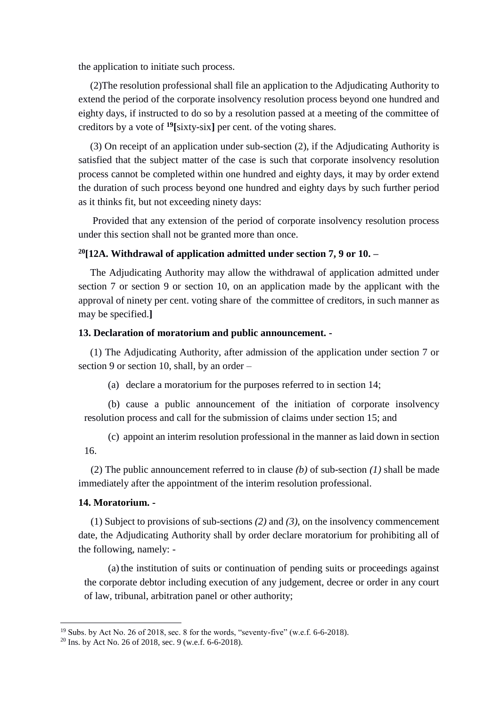the application to initiate such process.

(2)The resolution professional shall file an application to the Adjudicating Authority to extend the period of the corporate insolvency resolution process beyond one hundred and eighty days, if instructed to do so by a resolution passed at a meeting of the committee of creditors by a vote of **<sup>19</sup>[**sixty-six**]** per cent. of the voting shares.

(3) On receipt of an application under sub-section (2), if the Adjudicating Authority is satisfied that the subject matter of the case is such that corporate insolvency resolution process cannot be completed within one hundred and eighty days, it may by order extend the duration of such process beyond one hundred and eighty days by such further period as it thinks fit, but not exceeding ninety days:

Provided that any extension of the period of corporate insolvency resolution process under this section shall not be granted more than once.

# **<sup>20</sup>[12A. Withdrawal of application admitted under section 7, 9 or 10. –**

The Adjudicating Authority may allow the withdrawal of application admitted under section 7 or section 9 or section 10, on an application made by the applicant with the approval of ninety per cent. voting share of the committee of creditors, in such manner as may be specified.**]**

# **13. Declaration of moratorium and public announcement. -**

(1) The Adjudicating Authority, after admission of the application under section 7 or section 9 or section 10, shall, by an order –

(a) declare a moratorium for the purposes referred to in section 14;

(b) cause a public announcement of the initiation of corporate insolvency resolution process and call for the submission of claims under section 15; and

(c) appoint an interim resolution professional in the manner as laid down in section 16.

(2) The public announcement referred to in clause *(b)* of sub-section *(1)* shall be made immediately after the appointment of the interim resolution professional.

#### **14. Moratorium. -**

1

(1) Subject to provisions of sub-sections *(2)* and *(3)*, on the insolvency commencement date, the Adjudicating Authority shall by order declare moratorium for prohibiting all of the following, namely: -

(a) the institution of suits or continuation of pending suits or proceedings against the corporate debtor including execution of any judgement, decree or order in any court of law, tribunal, arbitration panel or other authority;

<sup>&</sup>lt;sup>19</sup> Subs. by Act No. 26 of 2018, sec. 8 for the words, "seventy-five" (w.e.f. 6-6-2018).

<sup>20</sup> Ins. by Act No. 26 of 2018, sec. 9 (w.e.f. 6-6-2018).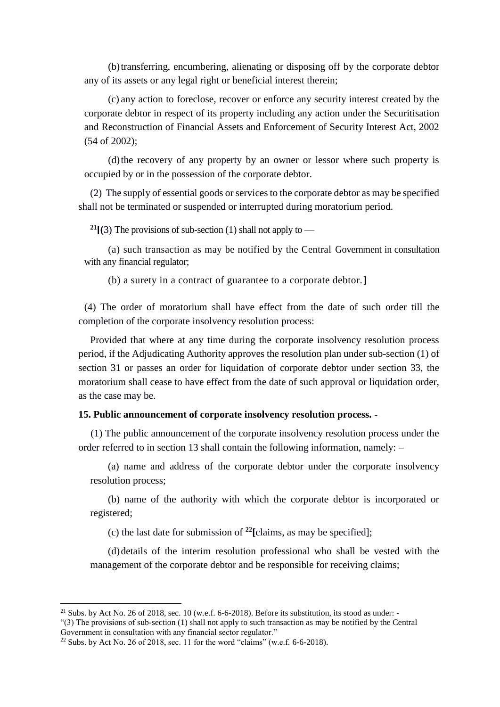(b)transferring, encumbering, alienating or disposing off by the corporate debtor any of its assets or any legal right or beneficial interest therein;

(c) any action to foreclose, recover or enforce any security interest created by the corporate debtor in respect of its property including any action under the Securitisation and Reconstruction of Financial Assets and Enforcement of Security Interest Act, 2002 (54 of 2002);

(d)the recovery of any property by an owner or lessor where such property is occupied by or in the possession of the corporate debtor.

(2) The supply of essential goods or services to the corporate debtor as may be specified shall not be terminated or suspended or interrupted during moratorium period.

 $2^{1}$ [(3) The provisions of sub-section (1) shall not apply to —

(a) such transaction as may be notified by the Central Government in consultation with any financial regulator;

(b) a surety in a contract of guarantee to a corporate debtor.**]**

(4) The order of moratorium shall have effect from the date of such order till the completion of the corporate insolvency resolution process:

Provided that where at any time during the corporate insolvency resolution process period, if the Adjudicating Authority approves the resolution plan under sub-section (1) of section 31 or passes an order for liquidation of corporate debtor under section 33, the moratorium shall cease to have effect from the date of such approval or liquidation order, as the case may be.

## **15. Public announcement of corporate insolvency resolution process. -**

(1) The public announcement of the corporate insolvency resolution process under the order referred to in section 13 shall contain the following information, namely: –

(a) name and address of the corporate debtor under the corporate insolvency resolution process;

(b) name of the authority with which the corporate debtor is incorporated or registered;

(c) the last date for submission of **<sup>22</sup>[**claims, as may be specified];

(d)details of the interim resolution professional who shall be vested with the management of the corporate debtor and be responsible for receiving claims;

<sup>&</sup>lt;sup>21</sup> Subs. by Act No. 26 of 2018, sec. 10 (w.e.f. 6-6-2018). Before its substitution, its stood as under: -

<sup>&</sup>quot;(3) The provisions of sub-section (1) shall not apply to such transaction as may be notified by the Central Government in consultation with any financial sector regulator."

<sup>&</sup>lt;sup>22</sup> Subs. by Act No. 26 of 2018, sec. 11 for the word "claims" (w.e.f. 6-6-2018).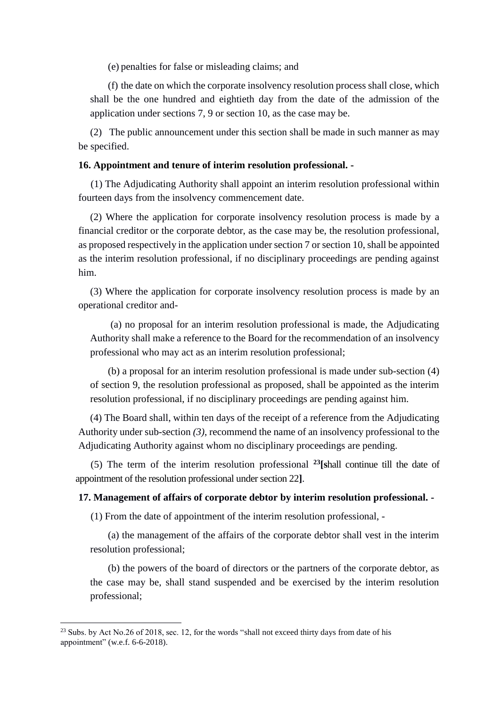(e) penalties for false or misleading claims; and

(f) the date on which the corporate insolvency resolution process shall close, which shall be the one hundred and eightieth day from the date of the admission of the application under sections 7, 9 or section 10, as the case may be.

(2) The public announcement under this section shall be made in such manner as may be specified.

## **16. Appointment and tenure of interim resolution professional. -**

(1) The Adjudicating Authority shall appoint an interim resolution professional within fourteen days from the insolvency commencement date.

(2) Where the application for corporate insolvency resolution process is made by a financial creditor or the corporate debtor, as the case may be, the resolution professional, as proposed respectively in the application under section 7 or section 10, shall be appointed as the interim resolution professional, if no disciplinary proceedings are pending against him.

(3) Where the application for corporate insolvency resolution process is made by an operational creditor and-

(a) no proposal for an interim resolution professional is made, the Adjudicating Authority shall make a reference to the Board for the recommendation of an insolvency professional who may act as an interim resolution professional;

(b) a proposal for an interim resolution professional is made under sub-section (4) of section 9, the resolution professional as proposed, shall be appointed as the interim resolution professional, if no disciplinary proceedings are pending against him.

(4) The Board shall, within ten days of the receipt of a reference from the Adjudicating Authority under sub-section *(3)*, recommend the name of an insolvency professional to the Adjudicating Authority against whom no disciplinary proceedings are pending.

(5) The term of the interim resolution professional **<sup>23</sup>[s**hall continue till the date of appointment of the resolution professional under section 22**]**.

# **17. Management of affairs of corporate debtor by interim resolution professional. -**

(1) From the date of appointment of the interim resolution professional, -

(a) the management of the affairs of the corporate debtor shall vest in the interim resolution professional;

(b) the powers of the board of directors or the partners of the corporate debtor, as the case may be, shall stand suspended and be exercised by the interim resolution professional;

<sup>&</sup>lt;sup>23</sup> Subs. by Act No.26 of 2018, sec. 12, for the words "shall not exceed thirty days from date of his appointment" (w.e.f. 6-6-2018).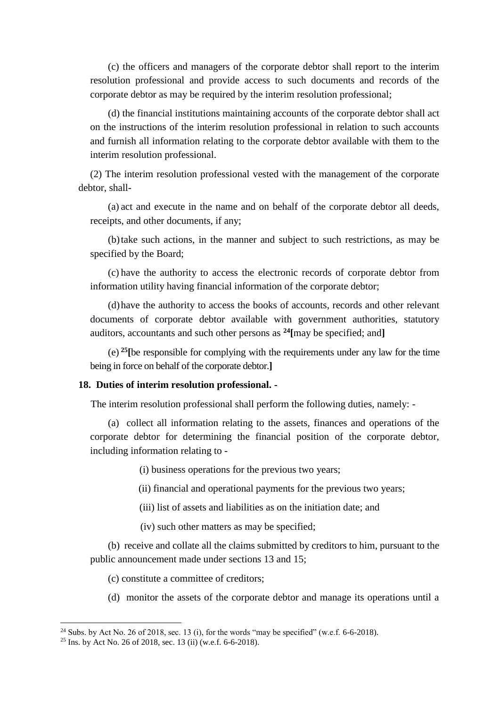(c) the officers and managers of the corporate debtor shall report to the interim resolution professional and provide access to such documents and records of the corporate debtor as may be required by the interim resolution professional;

(d) the financial institutions maintaining accounts of the corporate debtor shall act on the instructions of the interim resolution professional in relation to such accounts and furnish all information relating to the corporate debtor available with them to the interim resolution professional.

(2) The interim resolution professional vested with the management of the corporate debtor, shall-

(a) act and execute in the name and on behalf of the corporate debtor all deeds, receipts, and other documents, if any;

(b)take such actions, in the manner and subject to such restrictions, as may be specified by the Board;

(c) have the authority to access the electronic records of corporate debtor from information utility having financial information of the corporate debtor;

(d)have the authority to access the books of accounts, records and other relevant documents of corporate debtor available with government authorities, statutory auditors, accountants and such other persons as **<sup>24</sup>[**may be specified; and**]**

(e) **<sup>25</sup>[**be responsible for complying with the requirements under any law for the time being in force on behalf of the corporate debtor.**]**

# **18. Duties of interim resolution professional. -**

The interim resolution professional shall perform the following duties, namely: -

(a) collect all information relating to the assets, finances and operations of the corporate debtor for determining the financial position of the corporate debtor, including information relating to -

(i) business operations for the previous two years;

(ii) financial and operational payments for the previous two years;

(iii) list of assets and liabilities as on the initiation date; and

(iv) such other matters as may be specified;

(b) receive and collate all the claims submitted by creditors to him, pursuant to the public announcement made under sections 13 and 15;

(c) constitute a committee of creditors;

(d) monitor the assets of the corporate debtor and manage its operations until a

<sup>&</sup>lt;sup>24</sup> Subs. by Act No. 26 of 2018, sec. 13 (i), for the words "may be specified" (w.e.f. 6-6-2018).

<sup>&</sup>lt;sup>25</sup> Ins. by Act No. 26 of 2018, sec. 13 (ii) (w.e.f. 6-6-2018).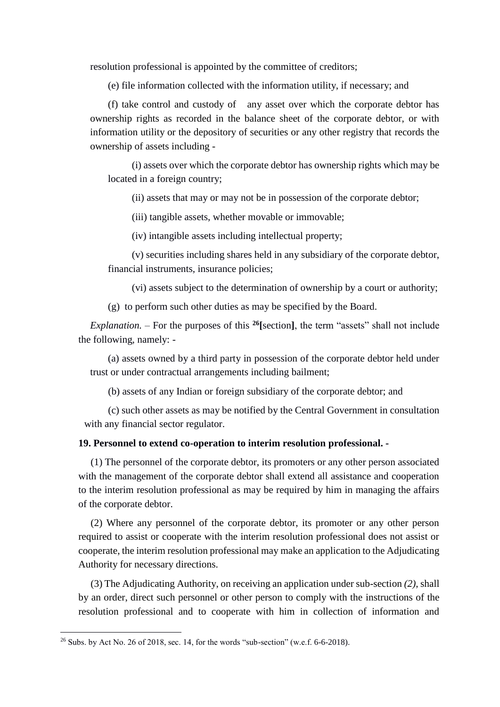resolution professional is appointed by the committee of creditors;

(e) file information collected with the information utility, if necessary; and

(f) take control and custody of any asset over which the corporate debtor has ownership rights as recorded in the balance sheet of the corporate debtor, or with information utility or the depository of securities or any other registry that records the ownership of assets including -

(i) assets over which the corporate debtor has ownership rights which may be located in a foreign country;

(ii) assets that may or may not be in possession of the corporate debtor;

(iii) tangible assets, whether movable or immovable;

(iv) intangible assets including intellectual property;

(v) securities including shares held in any subsidiary of the corporate debtor, financial instruments, insurance policies;

(vi) assets subject to the determination of ownership by a court or authority;

(g) to perform such other duties as may be specified by the Board.

*Explanation. –* For the purposes of this **<sup>26</sup>[**section**]**, the term "assets" shall not include the following, namely: -

(a) assets owned by a third party in possession of the corporate debtor held under trust or under contractual arrangements including bailment;

(b) assets of any Indian or foreign subsidiary of the corporate debtor; and

(c) such other assets as may be notified by the Central Government in consultation with any financial sector regulator.

#### **19. Personnel to extend co-operation to interim resolution professional. -**

(1) The personnel of the corporate debtor, its promoters or any other person associated with the management of the corporate debtor shall extend all assistance and cooperation to the interim resolution professional as may be required by him in managing the affairs of the corporate debtor.

(2) Where any personnel of the corporate debtor, its promoter or any other person required to assist or cooperate with the interim resolution professional does not assist or cooperate, the interim resolution professional may make an application to the Adjudicating Authority for necessary directions.

(3) The Adjudicating Authority, on receiving an application under sub-section *(2)*, shall by an order, direct such personnel or other person to comply with the instructions of the resolution professional and to cooperate with him in collection of information and

 $26$  Subs. by Act No. 26 of 2018, sec. 14, for the words "sub-section" (w.e.f. 6-6-2018).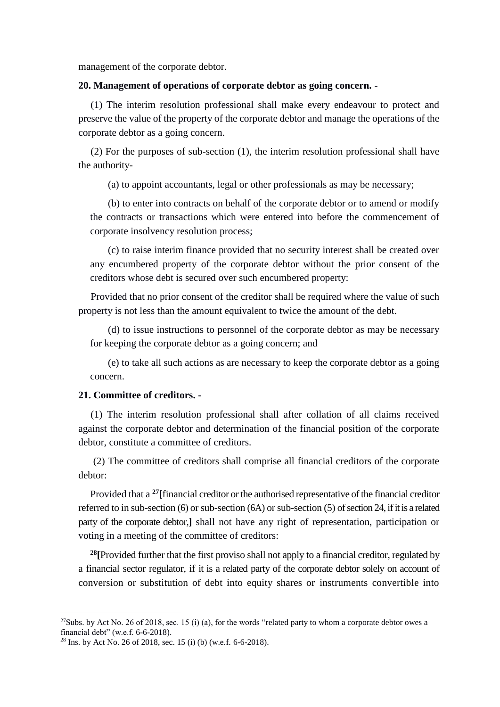management of the corporate debtor.

## **20. Management of operations of corporate debtor as going concern. -**

(1) The interim resolution professional shall make every endeavour to protect and preserve the value of the property of the corporate debtor and manage the operations of the corporate debtor as a going concern.

(2) For the purposes of sub-section (1), the interim resolution professional shall have the authority-

(a) to appoint accountants, legal or other professionals as may be necessary;

(b) to enter into contracts on behalf of the corporate debtor or to amend or modify the contracts or transactions which were entered into before the commencement of corporate insolvency resolution process;

(c) to raise interim finance provided that no security interest shall be created over any encumbered property of the corporate debtor without the prior consent of the creditors whose debt is secured over such encumbered property:

Provided that no prior consent of the creditor shall be required where the value of such property is not less than the amount equivalent to twice the amount of the debt.

(d) to issue instructions to personnel of the corporate debtor as may be necessary for keeping the corporate debtor as a going concern; and

(e) to take all such actions as are necessary to keep the corporate debtor as a going concern.

## **21. Committee of creditors. -**

(1) The interim resolution professional shall after collation of all claims received against the corporate debtor and determination of the financial position of the corporate debtor, constitute a committee of creditors.

(2) The committee of creditors shall comprise all financial creditors of the corporate debtor:

 Provided that a **<sup>27</sup>[**financial creditor or the authorised representative of the financial creditor referred to in sub-section (6) or sub-section (6A) or sub-section (5) of section 24, if it is a related party of the corporate debtor,**]** shall not have any right of representation, participation or voting in a meeting of the committee of creditors:

**<sup>28</sup>[**Provided further that the first proviso shall not apply to a financial creditor, regulated by a financial sector regulator, if it is a related party of the corporate debtor solely on account of conversion or substitution of debt into equity shares or instruments convertible into

<u>.</u>

<sup>&</sup>lt;sup>27</sup>Subs. by Act No. 26 of 2018, sec. 15 (i) (a), for the words "related party to whom a corporate debtor owes a financial debt" (w.e.f. 6-6-2018).

<sup>28</sup> Ins. by Act No. 26 of 2018, sec. 15 (i) (b) (w.e.f. 6-6-2018).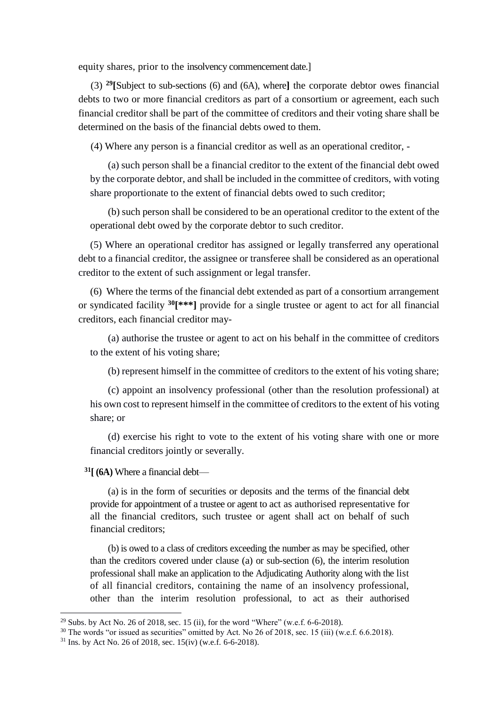equity shares, prior to the insolvency commencement date.]

(3) **<sup>29</sup>[**Subject to sub-sections (6) and (6A), where**]** the corporate debtor owes financial debts to two or more financial creditors as part of a consortium or agreement, each such financial creditor shall be part of the committee of creditors and their voting share shall be determined on the basis of the financial debts owed to them.

(4) Where any person is a financial creditor as well as an operational creditor, -

(a) such person shall be a financial creditor to the extent of the financial debt owed by the corporate debtor, and shall be included in the committee of creditors, with voting share proportionate to the extent of financial debts owed to such creditor;

(b) such person shall be considered to be an operational creditor to the extent of the operational debt owed by the corporate debtor to such creditor.

(5) Where an operational creditor has assigned or legally transferred any operational debt to a financial creditor, the assignee or transferee shall be considered as an operational creditor to the extent of such assignment or legal transfer.

(6) Where the terms of the financial debt extended as part of a consortium arrangement or syndicated facility **<sup>30</sup>[\*\*\*]** provide for a single trustee or agent to act for all financial creditors, each financial creditor may-

(a) authorise the trustee or agent to act on his behalf in the committee of creditors to the extent of his voting share;

(b) represent himself in the committee of creditors to the extent of his voting share;

(c) appoint an insolvency professional (other than the resolution professional) at his own cost to represent himself in the committee of creditors to the extent of his voting share; or

(d) exercise his right to vote to the extent of his voting share with one or more financial creditors jointly or severally.

**<sup>31</sup>[ (6A)** Where a financial debt—

(a) is in the form of securities or deposits and the terms of the financial debt provide for appointment of a trustee or agent to act as authorised representative for all the financial creditors, such trustee or agent shall act on behalf of such financial creditors;

(b) is owed to a class of creditors exceeding the number as may be specified, other than the creditors covered under clause (a) or sub-section (6), the interim resolution professional shall make an application to the Adjudicating Authority along with the list of all financial creditors, containing the name of an insolvency professional, other than the interim resolution professional, to act as their authorised

<u>.</u>

<sup>&</sup>lt;sup>29</sup> Subs. by Act No. 26 of 2018, sec. 15 (ii), for the word "Where" (w.e.f. 6-6-2018).

<sup>&</sup>lt;sup>30</sup> The words "or issued as securities" omitted by Act. No 26 of 2018, sec. 15 (iii) (w.e.f. 6.6.2018).

<sup>&</sup>lt;sup>31</sup> Ins. by Act No. 26 of 2018, sec. 15(iv) (w.e.f. 6-6-2018).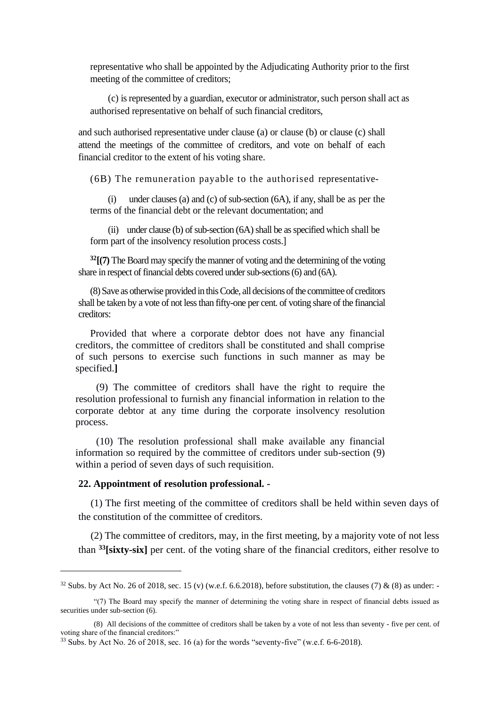representative who shall be appointed by the Adjudicating Authority prior to the first meeting of the committee of creditors;

(c) is represented by a guardian, executor or administrator, such person shall act as authorised representative on behalf of such financial creditors,

and such authorised representative under clause (a) or clause (b) or clause (c) shall attend the meetings of the committee of creditors, and vote on behalf of each financial creditor to the extent of his voting share.

(6B) The remuneration payable to the authorised representative-

(i) under clauses (a) and (c) of sub-section (6A), if any, shall be as per the terms of the financial debt or the relevant documentation; and

(ii) under clause (b) of sub-section (6A) shall be as specified which shall be form part of the insolvency resolution process costs.]

**<sup>32</sup>[(7)** The Board may specify the manner of voting and the determining of the voting share in respect of financial debts covered under sub-sections (6) and (6A).

(8) Save as otherwise provided in this Code, all decisions of the committee of creditors shall be taken by a vote of not less than fifty-one per cent. of voting share of the financial creditors:

Provided that where a corporate debtor does not have any financial creditors, the committee of creditors shall be constituted and shall comprise of such persons to exercise such functions in such manner as may be specified.**]**

(9) The committee of creditors shall have the right to require the resolution professional to furnish any financial information in relation to the corporate debtor at any time during the corporate insolvency resolution process.

(10) The resolution professional shall make available any financial information so required by the committee of creditors under sub-section (9) within a period of seven days of such requisition.

#### **22. Appointment of resolution professional. -**

1

(1) The first meeting of the committee of creditors shall be held within seven days of the constitution of the committee of creditors.

(2) The committee of creditors, may, in the first meeting, by a majority vote of not less than **<sup>33</sup>[sixty-six]** per cent. of the voting share of the financial creditors, either resolve to

<sup>&</sup>lt;sup>32</sup> Subs. by Act No. 26 of 2018, sec. 15 (v) (w.e.f. 6.6.2018), before substitution, the clauses (7) & (8) as under: -

<sup>&</sup>quot;(7) The Board may specify the manner of determining the voting share in respect of financial debts issued as securities under sub-section (6).

<sup>(8)</sup> All decisions of the committee of creditors shall be taken by a vote of not less than seventy - five per cent. of voting share of the financial creditors:"

 $33$  Subs. by Act No. 26 of 2018, sec. 16 (a) for the words "seventy-five" (w.e.f. 6-6-2018).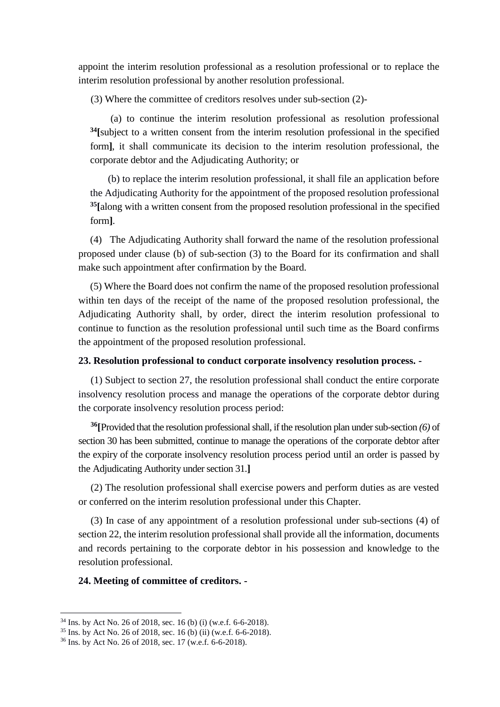appoint the interim resolution professional as a resolution professional or to replace the interim resolution professional by another resolution professional.

(3) Where the committee of creditors resolves under sub-section (2)-

(a) to continue the interim resolution professional as resolution professional **<sup>34</sup>[**subject to a written consent from the interim resolution professional in the specified form**]**, it shall communicate its decision to the interim resolution professional, the corporate debtor and the Adjudicating Authority; or

(b) to replace the interim resolution professional, it shall file an application before the Adjudicating Authority for the appointment of the proposed resolution professional **<sup>35</sup>[**along with a written consent from the proposed resolution professional in the specified form**]**.

(4) The Adjudicating Authority shall forward the name of the resolution professional proposed under clause (b) of sub-section (3) to the Board for its confirmation and shall make such appointment after confirmation by the Board.

(5) Where the Board does not confirm the name of the proposed resolution professional within ten days of the receipt of the name of the proposed resolution professional, the Adjudicating Authority shall, by order, direct the interim resolution professional to continue to function as the resolution professional until such time as the Board confirms the appointment of the proposed resolution professional.

#### **23. Resolution professional to conduct corporate insolvency resolution process. -**

(1) Subject to section 27, the resolution professional shall conduct the entire corporate insolvency resolution process and manage the operations of the corporate debtor during the corporate insolvency resolution process period:

**<sup>36</sup>[**Provided that the resolution professional shall, if the resolution plan under sub-section *(6)* of section 30 has been submitted, continue to manage the operations of the corporate debtor after the expiry of the corporate insolvency resolution process period until an order is passed by the Adjudicating Authority under section 31.**]**

(2) The resolution professional shall exercise powers and perform duties as are vested or conferred on the interim resolution professional under this Chapter.

(3) In case of any appointment of a resolution professional under sub-sections (4) of section 22, the interim resolution professional shall provide all the information, documents and records pertaining to the corporate debtor in his possession and knowledge to the resolution professional.

## **24. Meeting of committee of creditors. -**

<u>.</u>

<sup>34</sup> Ins. by Act No. 26 of 2018, sec. 16 (b) (i) (w.e.f. 6-6-2018).

<sup>&</sup>lt;sup>35</sup> Ins. by Act No. 26 of 2018, sec. 16 (b) (ii) (w.e.f. 6-6-2018).

<sup>36</sup> Ins. by Act No. 26 of 2018, sec. 17 (w.e.f. 6-6-2018).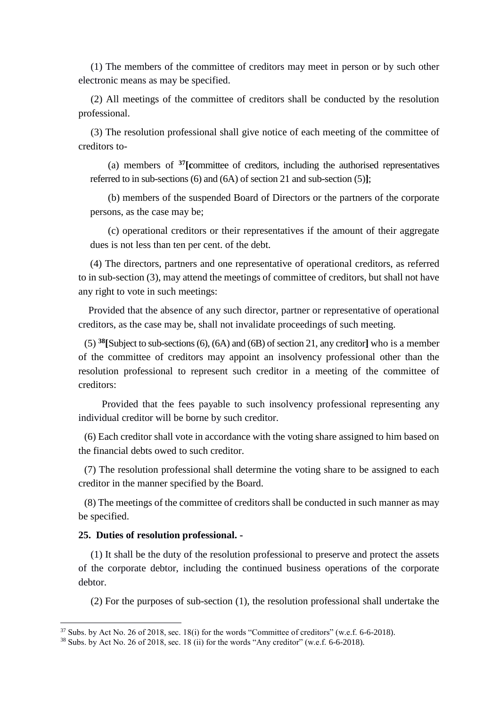(1) The members of the committee of creditors may meet in person or by such other electronic means as may be specified.

(2) All meetings of the committee of creditors shall be conducted by the resolution professional.

(3) The resolution professional shall give notice of each meeting of the committee of creditors to-

(a) members of **<sup>37</sup>[c**ommittee of creditors, including the authorised representatives referred to in sub-sections (6) and (6A) of section 21 and sub-section (5)**]**;

(b) members of the suspended Board of Directors or the partners of the corporate persons, as the case may be;

(c) operational creditors or their representatives if the amount of their aggregate dues is not less than ten per cent. of the debt.

(4) The directors, partners and one representative of operational creditors, as referred to in sub-section (3), may attend the meetings of committee of creditors, but shall not have any right to vote in such meetings:

Provided that the absence of any such director, partner or representative of operational creditors, as the case may be, shall not invalidate proceedings of such meeting.

(5) **<sup>38</sup>[**Subject to sub-sections (6), (6A) and (6B) of section 21, any creditor**]** who is a member of the committee of creditors may appoint an insolvency professional other than the resolution professional to represent such creditor in a meeting of the committee of creditors:

 Provided that the fees payable to such insolvency professional representing any individual creditor will be borne by such creditor.

(6) Each creditor shall vote in accordance with the voting share assigned to him based on the financial debts owed to such creditor.

(7) The resolution professional shall determine the voting share to be assigned to each creditor in the manner specified by the Board.

(8) The meetings of the committee of creditors shall be conducted in such manner as may be specified.

#### **25. Duties of resolution professional. -**

1

(1) It shall be the duty of the resolution professional to preserve and protect the assets of the corporate debtor, including the continued business operations of the corporate debtor.

(2) For the purposes of sub-section (1), the resolution professional shall undertake the

<sup>&</sup>lt;sup>37</sup> Subs. by Act No. 26 of 2018, sec. 18(i) for the words "Committee of creditors" (w.e.f. 6-6-2018).

 $38$  Subs. by Act No. 26 of 2018, sec. 18 (ii) for the words "Any creditor" (w.e.f. 6-6-2018).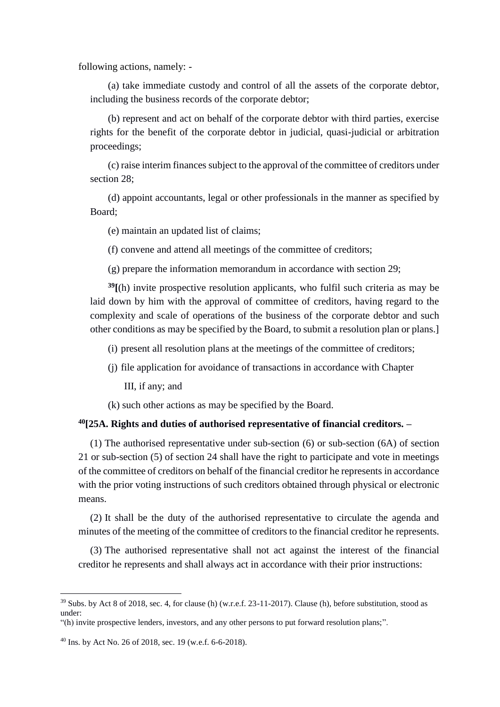following actions, namely: -

(a) take immediate custody and control of all the assets of the corporate debtor, including the business records of the corporate debtor;

(b) represent and act on behalf of the corporate debtor with third parties, exercise rights for the benefit of the corporate debtor in judicial, quasi-judicial or arbitration proceedings;

(c) raise interim finances subject to the approval of the committee of creditors under section 28;

(d) appoint accountants, legal or other professionals in the manner as specified by Board;

(e) maintain an updated list of claims;

(f) convene and attend all meetings of the committee of creditors;

(g) prepare the information memorandum in accordance with section 29;

**<sup>39</sup>[**(h) invite prospective resolution applicants, who fulfil such criteria as may be laid down by him with the approval of committee of creditors, having regard to the complexity and scale of operations of the business of the corporate debtor and such other conditions as may be specified by the Board, to submit a resolution plan or plans.]

(i) present all resolution plans at the meetings of the committee of creditors;

(j) file application for avoidance of transactions in accordance with Chapter

III, if any; and

(k) such other actions as may be specified by the Board.

#### **<sup>40</sup>[25A. Rights and duties of authorised representative of financial creditors. –**

(1) The authorised representative under sub-section (6) or sub-section (6A) of section 21 or sub-section (5) of section 24 shall have the right to participate and vote in meetings of the committee of creditors on behalf of the financial creditor he represents in accordance with the prior voting instructions of such creditors obtained through physical or electronic means.

(2) It shall be the duty of the authorised representative to circulate the agenda and minutes of the meeting of the committee of creditors to the financial creditor he represents.

(3) The authorised representative shall not act against the interest of the financial creditor he represents and shall always act in accordance with their prior instructions:

<u>.</u>

<sup>&</sup>lt;sup>39</sup> Subs. by Act 8 of 2018, sec. 4, for clause (h) (w.r.e.f. 23-11-2017). Clause (h), before substitution, stood as under:

<sup>&</sup>quot;(h) invite prospective lenders, investors, and any other persons to put forward resolution plans;".

<sup>40</sup> Ins. by Act No. 26 of 2018, sec. 19 (w.e.f. 6-6-2018).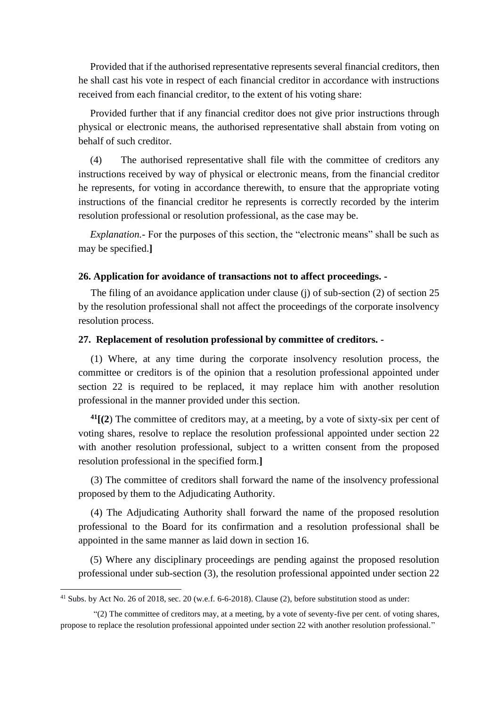Provided that if the authorised representative represents several financial creditors, then he shall cast his vote in respect of each financial creditor in accordance with instructions received from each financial creditor, to the extent of his voting share:

Provided further that if any financial creditor does not give prior instructions through physical or electronic means, the authorised representative shall abstain from voting on behalf of such creditor.

(4) The authorised representative shall file with the committee of creditors any instructions received by way of physical or electronic means, from the financial creditor he represents, for voting in accordance therewith, to ensure that the appropriate voting instructions of the financial creditor he represents is correctly recorded by the interim resolution professional or resolution professional, as the case may be.

*Explanation*.- For the purposes of this section, the "electronic means" shall be such as may be specified.**]**

## **26. Application for avoidance of transactions not to affect proceedings. -**

The filing of an avoidance application under clause (j) of sub-section (2) of section 25 by the resolution professional shall not affect the proceedings of the corporate insolvency resolution process.

#### **27. Replacement of resolution professional by committee of creditors. -**

(1) Where, at any time during the corporate insolvency resolution process, the committee or creditors is of the opinion that a resolution professional appointed under section 22 is required to be replaced, it may replace him with another resolution professional in the manner provided under this section.

**<sup>41</sup>[(2**) The committee of creditors may, at a meeting, by a vote of sixty-six per cent of voting shares, resolve to replace the resolution professional appointed under section 22 with another resolution professional, subject to a written consent from the proposed resolution professional in the specified form.**]**

(3) The committee of creditors shall forward the name of the insolvency professional proposed by them to the Adjudicating Authority.

(4) The Adjudicating Authority shall forward the name of the proposed resolution professional to the Board for its confirmation and a resolution professional shall be appointed in the same manner as laid down in section 16.

(5) Where any disciplinary proceedings are pending against the proposed resolution professional under sub-section (3), the resolution professional appointed under section 22

<sup>41</sup> Subs. by Act No. 26 of 2018, sec. 20 (w.e.f. 6-6-2018). Clause (2), before substitution stood as under:

<sup>&</sup>quot;(2) The committee of creditors may, at a meeting, by a vote of seventy-five per cent. of voting shares, propose to replace the resolution professional appointed under section 22 with another resolution professional."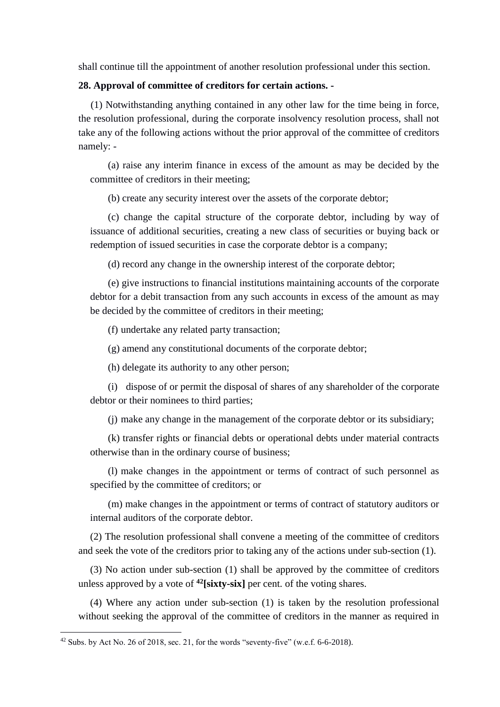shall continue till the appointment of another resolution professional under this section.

## **28. Approval of committee of creditors for certain actions. -**

(1) Notwithstanding anything contained in any other law for the time being in force, the resolution professional, during the corporate insolvency resolution process, shall not take any of the following actions without the prior approval of the committee of creditors namely: -

(a) raise any interim finance in excess of the amount as may be decided by the committee of creditors in their meeting;

(b) create any security interest over the assets of the corporate debtor;

(c) change the capital structure of the corporate debtor, including by way of issuance of additional securities, creating a new class of securities or buying back or redemption of issued securities in case the corporate debtor is a company;

(d) record any change in the ownership interest of the corporate debtor;

(e) give instructions to financial institutions maintaining accounts of the corporate debtor for a debit transaction from any such accounts in excess of the amount as may be decided by the committee of creditors in their meeting;

(f) undertake any related party transaction;

(g) amend any constitutional documents of the corporate debtor;

(h) delegate its authority to any other person;

(i) dispose of or permit the disposal of shares of any shareholder of the corporate debtor or their nominees to third parties;

(j) make any change in the management of the corporate debtor or its subsidiary;

(k) transfer rights or financial debts or operational debts under material contracts otherwise than in the ordinary course of business;

(l) make changes in the appointment or terms of contract of such personnel as specified by the committee of creditors; or

(m) make changes in the appointment or terms of contract of statutory auditors or internal auditors of the corporate debtor.

(2) The resolution professional shall convene a meeting of the committee of creditors and seek the vote of the creditors prior to taking any of the actions under sub-section (1).

(3) No action under sub-section (1) shall be approved by the committee of creditors unless approved by a vote of **<sup>42</sup>[sixty-six]** per cent. of the voting shares.

(4) Where any action under sub-section (1) is taken by the resolution professional without seeking the approval of the committee of creditors in the manner as required in

 $42$  Subs. by Act No. 26 of 2018, sec. 21, for the words "seventy-five" (w.e.f. 6-6-2018).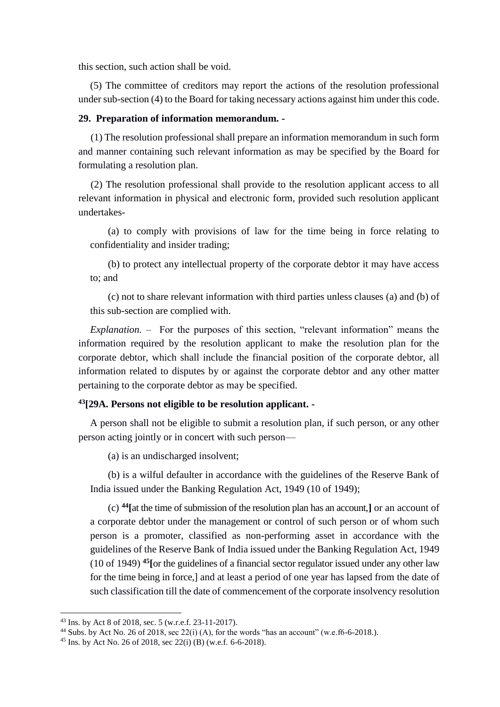this section, such action shall be void.

(5) The committee of creditors may report the actions of the resolution professional under sub-section (4) to the Board for taking necessary actions against him under this code.

# **29. Preparation of information memorandum. -**

(1) The resolution professional shall prepare an information memorandum in such form and manner containing such relevant information as may be specified by the Board for formulating a resolution plan.

(2) The resolution professional shall provide to the resolution applicant access to all relevant information in physical and electronic form, provided such resolution applicant undertakes-

(a) to comply with provisions of law for the time being in force relating to confidentiality and insider trading;

(b) to protect any intellectual property of the corporate debtor it may have access to; and

(c) not to share relevant information with third parties unless clauses (a) and (b) of this sub-section are complied with.

*Explanation. –* For the purposes of this section, "relevant information" means the information required by the resolution applicant to make the resolution plan for the corporate debtor, which shall include the financial position of the corporate debtor, all information related to disputes by or against the corporate debtor and any other matter pertaining to the corporate debtor as may be specified.

# **<sup>43</sup>[29A. Persons not eligible to be resolution applicant. -**

A person shall not be eligible to submit a resolution plan, if such person, or any other person acting jointly or in concert with such person—

(a) is an undischarged insolvent;

(b) is a wilful defaulter in accordance with the guidelines of the Reserve Bank of India issued under the Banking Regulation Act, 1949 (10 of 1949);

(c) **<sup>44</sup>[**at the time of submission of the resolution plan has an account,**]** or an account of a corporate debtor under the management or control of such person or of whom such person is a promoter, classified as non-performing asset in accordance with the guidelines of the Reserve Bank of India issued under the Banking Regulation Act, 1949 (10 of 1949) **<sup>45</sup>[**or the guidelines of a financial sector regulator issued under any other law for the time being in force,] and at least a period of one year has lapsed from the date of such classification till the date of commencement of the corporate insolvency resolution

<u>.</u>

<sup>43</sup> Ins. by Act 8 of 2018, sec. 5 (w.r.e.f. 23-11-2017).

<sup>&</sup>lt;sup>44</sup> Subs. by Act No. 26 of 2018, sec 22(i) (A), for the words "has an account" (w.e.f6-6-2018.).

<sup>&</sup>lt;sup>45</sup> Ins. by Act No. 26 of 2018, sec 22(i) (B) (w.e.f. 6-6-2018).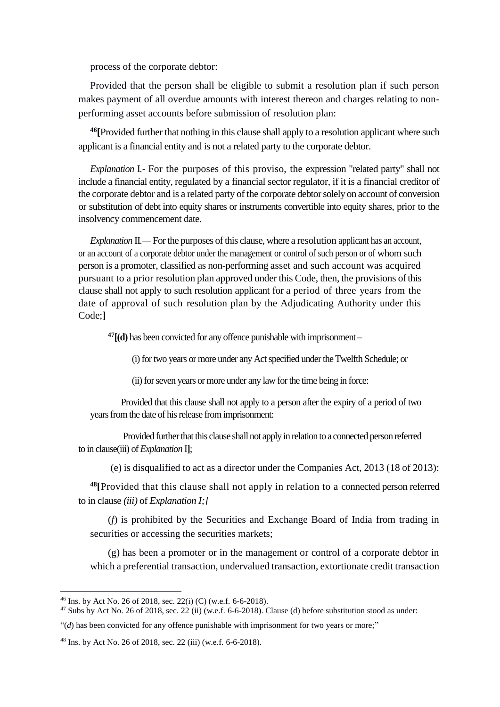process of the corporate debtor:

Provided that the person shall be eligible to submit a resolution plan if such person makes payment of all overdue amounts with interest thereon and charges relating to nonperforming asset accounts before submission of resolution plan:

**<sup>46</sup>[**Provided further that nothing in this clause shall apply to a resolution applicant where such applicant is a financial entity and is not a related party to the corporate debtor.

*Explanation I.*- For the purposes of this proviso, the expression "related party" shall not include a financial entity, regulated by a financial sector regulator, if it is a financial creditor of the corporate debtor and is a related party of the corporate debtor solely on account of conversion or substitution of debt into equity shares or instruments convertible into equity shares, prior to the insolvency commencement date.

*Explanation II.*— For the purposes of this clause, where a resolution applicant has an account, or an account of a corporate debtor under the management or control of such person or of whom such person is a promoter, classified as non-performing asset and such account was acquired pursuant to a prior resolution plan approved under this Code, then, the provisions of this clause shall not apply to such resolution applicant for a period of three years from the date of approval of such resolution plan by the Adjudicating Authority under this Code;**]**

**<sup>47</sup>[(d)** has been convicted for any offence punishable with imprisonment –

(i) for two years or more under any Act specified under the Twelfth Schedule; or

(ii) for seven years or more under any law for the time being in force:

Provided that this clause shall not apply to a person after the expiry of a period of two years from the date of his release from imprisonment:

Provided further that this clause shall not apply in relation to a connected person referred to in clause(iii) of *Explanation* I**]**;

(e) is disqualified to act as a director under the Companies Act, 2013 (18 of 2013):

**<sup>48</sup>[**Provided that this clause shall not apply in relation to a connected person referred to in clause *(iii)* of *Explanation I;]*

(*f*) is prohibited by the Securities and Exchange Board of India from trading in securities or accessing the securities markets;

(g) has been a promoter or in the management or control of a corporate debtor in which a preferential transaction, undervalued transaction, extortionate credit transaction

<sup>46</sup> Ins. by Act No. 26 of 2018, sec. 22(i) (C) (w.e.f. 6-6-2018).

 $47$  Subs by Act No. 26 of 2018, sec. 22 (ii) (w.e.f. 6-6-2018). Clause (d) before substitution stood as under:

<sup>&</sup>quot;(*d*) has been convicted for any offence punishable with imprisonment for two years or more;"

<sup>48</sup> Ins. by Act No. 26 of 2018, sec. 22 (iii) (w.e.f. 6-6-2018).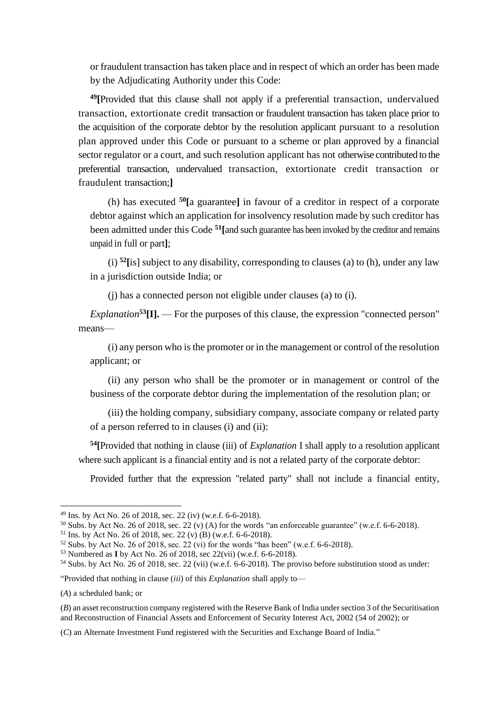or fraudulent transaction has taken place and in respect of which an order has been made by the Adjudicating Authority under this Code:

**<sup>49</sup>[**Provided that this clause shall not apply if a preferential transaction, undervalued transaction, extortionate credit transaction or fraudulent transaction has taken place prior to the acquisition of the corporate debtor by the resolution applicant pursuant to a resolution plan approved under this Code or pursuant to a scheme or plan approved by a financial sector regulator or a court, and such resolution applicant has not otherwise contributed to the preferential transaction, undervalued transaction, extortionate credit transaction or fraudulent transaction;**]**

(h) has executed **<sup>50</sup>[**a guarantee**]** in favour of a creditor in respect of a corporate debtor against which an application for insolvency resolution made by such creditor has been admitted under this Code **<sup>51</sup>[**and such guarantee has been invoked by the creditor and remains unpaid in full or part**]**;

(i) **<sup>52</sup>[**is] subject to any disability, corresponding to clauses (a) to (h), under any law in a jurisdiction outside India; or

(j) has a connected person not eligible under clauses (a) to (i).

*Explanation***<sup>53</sup>[I].** — For the purposes of this clause, the expression "connected person" means—

(i) any person who is the promoter or in the management or control of the resolution applicant; or

(ii) any person who shall be the promoter or in management or control of the business of the corporate debtor during the implementation of the resolution plan; or

(iii) the holding company, subsidiary company, associate company or related party of a person referred to in clauses (i) and (ii):

**<sup>54</sup>[**Provided that nothing in clause (iii) of *Explanation* I shall apply to a resolution applicant where such applicant is a financial entity and is not a related party of the corporate debtor:

Provided further that the expression "related party" shall not include a financial entity,

"Provided that nothing in clause (*iii*) of this *Explanation* shall apply to—

(*A*) a scheduled bank; or

<u>.</u>

<sup>49</sup> Ins. by Act No. 26 of 2018, sec. 22 (iv) (w.e.f. 6-6-2018).

 $50$  Subs. by Act No. 26 of 2018, sec. 22 (v) (A) for the words "an enforceable guarantee" (w.e.f. 6-6-2018).

<sup>51</sup> Ins. by Act No. 26 of 2018, sec. 22 (v) (B) (w.e.f. 6-6-2018).

<sup>52</sup> Subs. by Act No. 26 of 2018, sec. 22 (vi) for the words "has been" (w.e.f. 6-6-2018).

<sup>53</sup> Numbered as **I** by Act No. 26 of 2018, sec 22(vii) (w.e.f. 6-6-2018).

<sup>54</sup> Subs. by Act No. 26 of 2018, sec. 22 (vii) (w.e.f. 6-6-2018). The proviso before substitution stood as under:

<sup>(</sup>*B*) an asset reconstruction company registered with the Reserve Bank of India under section 3 of the Securitisation and Reconstruction of Financial Assets and Enforcement of Security Interest Act, 2002 (54 of 2002); or

<sup>(</sup>*C*) an Alternate Investment Fund registered with the Securities and Exchange Board of India."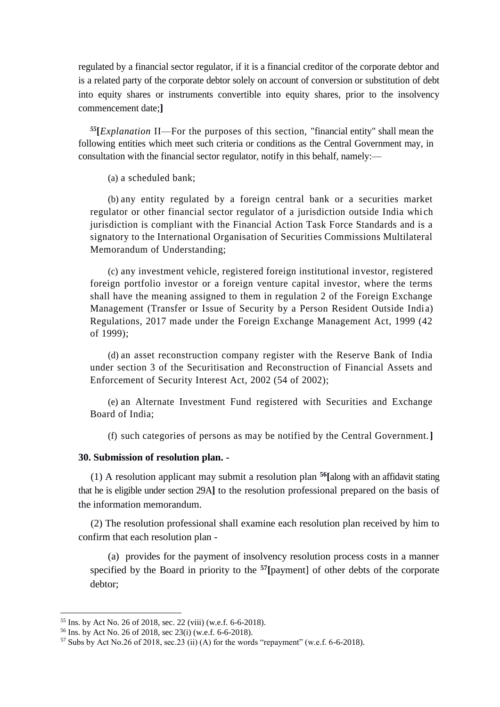regulated by a financial sector regulator, if it is a financial creditor of the corporate debtor and is a related party of the corporate debtor solely on account of conversion or substitution of debt into equity shares or instruments convertible into equity shares, prior to the insolvency commencement date;**]**

*<sup>55</sup>***[***Explanation* II—For the purposes of this section, "financial entity" shall mean the following entities which meet such criteria or conditions as the Central Government may, in consultation with the financial sector regulator, notify in this behalf, namely:—

(a) a scheduled bank;

(b) any entity regulated by a foreign central bank or a securities market regulator or other financial sector regulator of a jurisdiction outside India which jurisdiction is compliant with the Financial Action Task Force Standards and is a signatory to the International Organisation of Securities Commissions Multilateral Memorandum of Understanding;

(c) any investment vehicle, registered foreign institutional investor, registered foreign portfolio investor or a foreign venture capital investor, where the terms shall have the meaning assigned to them in regulation 2 of the Foreign Exchange Management (Transfer or Issue of Security by a Person Resident Outside India) Regulations, 2017 made under the Foreign Exchange Management Act, 1999 (42 of 1999);

(d) an asset reconstruction company register with the Reserve Bank of India under section 3 of the Securitisation and Reconstruction of Financial Assets and Enforcement of Security Interest Act, 2002 (54 of 2002);

(e) an Alternate Investment Fund registered with Securities and Exchange Board of India;

(f) such categories of persons as may be notified by the Central Government.**]**

# **30. Submission of resolution plan. -**

(1) A resolution applicant may submit a resolution plan **<sup>56</sup>[**along with an affidavit stating that he is eligible under section 29A**]** to the resolution professional prepared on the basis of the information memorandum.

(2) The resolution professional shall examine each resolution plan received by him to confirm that each resolution plan -

(a) provides for the payment of insolvency resolution process costs in a manner specified by the Board in priority to the **<sup>57</sup>[**payment] of other debts of the corporate debtor;

<u>.</u>

<sup>55</sup> Ins. by Act No. 26 of 2018, sec. 22 (viii) (w.e.f. 6-6-2018).

<sup>56</sup> Ins. by Act No. 26 of 2018, sec 23(i) (w.e.f. 6-6-2018).

 $57$  Subs by Act No.26 of 2018, sec.23 (ii) (A) for the words "repayment" (w.e.f. 6-6-2018).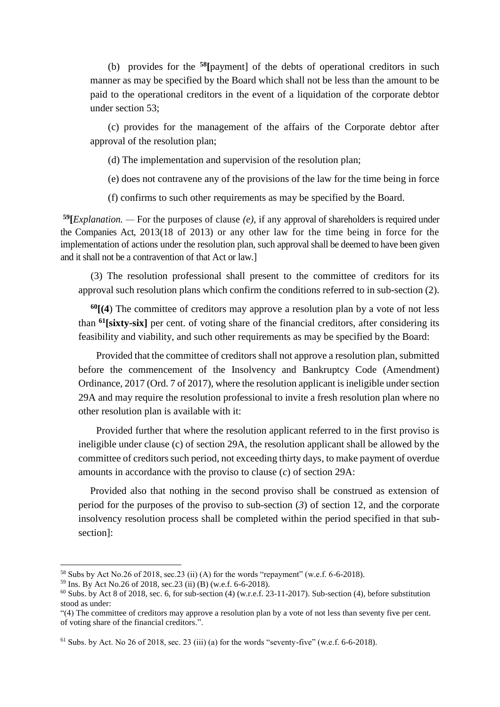(b) provides for the **<sup>58</sup>[**payment] of the debts of operational creditors in such manner as may be specified by the Board which shall not be less than the amount to be paid to the operational creditors in the event of a liquidation of the corporate debtor under section 53;

(c) provides for the management of the affairs of the Corporate debtor after approval of the resolution plan;

(d) The implementation and supervision of the resolution plan;

(e) does not contravene any of the provisions of the law for the time being in force

(f) confirms to such other requirements as may be specified by the Board.

**<sup>59</sup>[***Explanation. —* For the purposes of clause *(e),* if any approval of shareholders is required under the Companies Act, 2013(18 of 2013) or any other law for the time being in force for the implementation of actions under the resolution plan, such approval shall be deemed to have been given and it shall not be a contravention of that Act or law.]

(3) The resolution professional shall present to the committee of creditors for its approval such resolution plans which confirm the conditions referred to in sub-section (2).

**<sup>60</sup>[(4**) The committee of creditors may approve a resolution plan by a vote of not less than **<sup>61</sup>[sixty-six]** per cent. of voting share of the financial creditors, after considering its feasibility and viability, and such other requirements as may be specified by the Board:

Provided that the committee of creditors shall not approve a resolution plan, submitted before the commencement of the Insolvency and Bankruptcy Code (Amendment) Ordinance, 2017 (Ord. 7 of 2017), where the resolution applicant is ineligible under section 29A and may require the resolution professional to invite a fresh resolution plan where no other resolution plan is available with it:

Provided further that where the resolution applicant referred to in the first proviso is ineligible under clause (c) of section 29A, the resolution applicant shall be allowed by the committee of creditors such period, not exceeding thirty days, to make payment of overdue amounts in accordance with the proviso to clause (*c*) of section 29A:

Provided also that nothing in the second proviso shall be construed as extension of period for the purposes of the proviso to sub-section (*3*) of section 12, and the corporate insolvency resolution process shall be completed within the period specified in that subsection]:

 $58$  Subs by Act No.26 of 2018, sec.23 (ii) (A) for the words "repayment" (w.e.f. 6-6-2018).

<sup>&</sup>lt;sup>59</sup> Ins. By Act No.26 of 2018, sec.23 (ii) (B) (w.e.f. 6-6-2018).

 $60$  Subs. by Act 8 of 2018, sec. 6, for sub-section (4) (w.r.e.f. 23-11-2017). Sub-section (4), before substitution stood as under:

<sup>&</sup>quot;(4) The committee of creditors may approve a resolution plan by a vote of not less than seventy five per cent. of voting share of the financial creditors.".

 $61$  Subs. by Act. No 26 of 2018, sec. 23 (iii) (a) for the words "seventy-five" (w.e.f. 6-6-2018).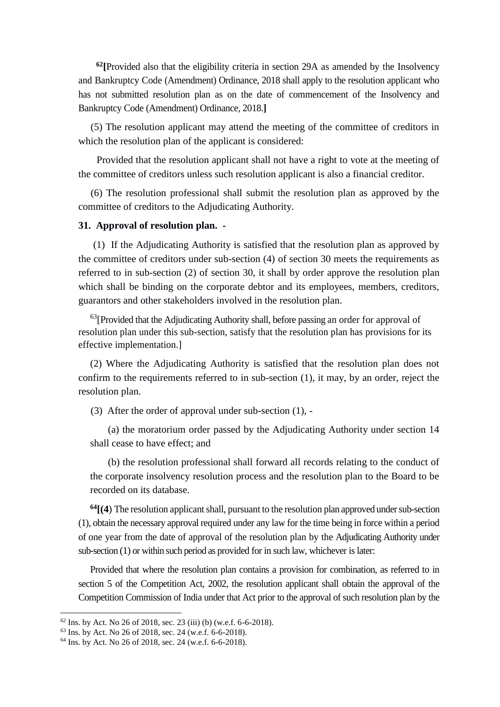**<sup>62</sup>[**Provided also that the eligibility criteria in section 29A as amended by the Insolvency and Bankruptcy Code (Amendment) Ordinance, 2018 shall apply to the resolution applicant who has not submitted resolution plan as on the date of commencement of the Insolvency and Bankruptcy Code (Amendment) Ordinance, 2018.**]**

(5) The resolution applicant may attend the meeting of the committee of creditors in which the resolution plan of the applicant is considered:

Provided that the resolution applicant shall not have a right to vote at the meeting of the committee of creditors unless such resolution applicant is also a financial creditor.

(6) The resolution professional shall submit the resolution plan as approved by the committee of creditors to the Adjudicating Authority.

## **31. Approval of resolution plan. -**

(1) If the Adjudicating Authority is satisfied that the resolution plan as approved by the committee of creditors under sub-section (4) of section 30 meets the requirements as referred to in sub-section (2) of section 30, it shall by order approve the resolution plan which shall be binding on the corporate debtor and its employees, members, creditors, guarantors and other stakeholders involved in the resolution plan.

<sup>63</sup>[Provided that the Adjudicating Authority shall, before passing an order for approval of resolution plan under this sub-section, satisfy that the resolution plan has provisions for its effective implementation.]

(2) Where the Adjudicating Authority is satisfied that the resolution plan does not confirm to the requirements referred to in sub-section (1), it may, by an order, reject the resolution plan.

(3) After the order of approval under sub-section (1), -

(a) the moratorium order passed by the Adjudicating Authority under section 14 shall cease to have effect; and

(b) the resolution professional shall forward all records relating to the conduct of the corporate insolvency resolution process and the resolution plan to the Board to be recorded on its database.

**<sup>64</sup>[(4**) The resolution applicant shall, pursuant to the resolution plan approved under sub-section (1), obtain the necessary approval required under any law for the time being in force within a period of one year from the date of approval of the resolution plan by the Adjudicating Authority under sub-section (1) or within such period as provided for in such law, whichever is later:

Provided that where the resolution plan contains a provision for combination, as referred to in section 5 of the Competition Act, 2002, the resolution applicant shall obtain the approval of the Competition Commission of India under that Act prior to the approval of such resolution plan by the

<u>.</u>

 $62$  Ins. by Act. No 26 of 2018, sec. 23 (iii) (b) (w.e.f. 6-6-2018).

<sup>63</sup> Ins. by Act. No 26 of 2018, sec. 24 (w.e.f. 6-6-2018).

 $64$  Ins. by Act. No 26 of 2018, sec. 24 (w.e.f. 6-6-2018).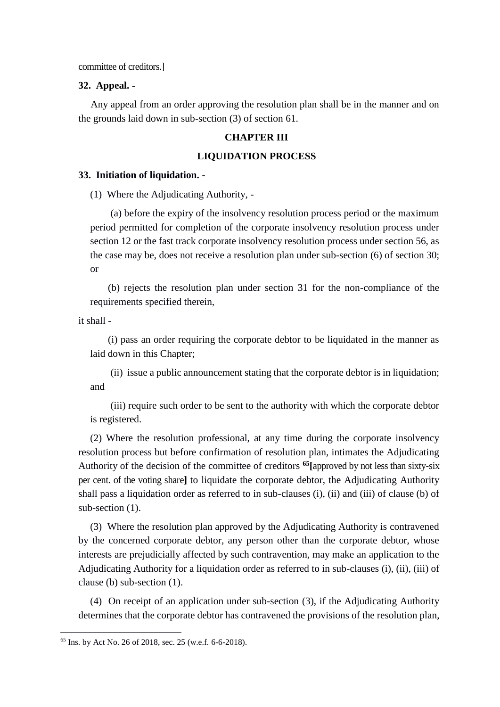committee of creditors.]

#### **32. Appeal. -**

Any appeal from an order approving the resolution plan shall be in the manner and on the grounds laid down in sub-section (3) of section 61.

## **CHAPTER III**

#### **LIQUIDATION PROCESS**

## **33. Initiation of liquidation. -**

(1) Where the Adjudicating Authority, -

(a) before the expiry of the insolvency resolution process period or the maximum period permitted for completion of the corporate insolvency resolution process under section 12 or the fast track corporate insolvency resolution process under section 56, as the case may be, does not receive a resolution plan under sub-section (6) of section 30; or

(b) rejects the resolution plan under section 31 for the non-compliance of the requirements specified therein,

it shall -

(i) pass an order requiring the corporate debtor to be liquidated in the manner as laid down in this Chapter;

(ii) issue a public announcement stating that the corporate debtor is in liquidation; and

(iii) require such order to be sent to the authority with which the corporate debtor is registered.

(2) Where the resolution professional, at any time during the corporate insolvency resolution process but before confirmation of resolution plan, intimates the Adjudicating Authority of the decision of the committee of creditors **<sup>65</sup>[**approved by not less than sixty-six per cent. of the voting share**]** to liquidate the corporate debtor, the Adjudicating Authority shall pass a liquidation order as referred to in sub-clauses (i), (ii) and (iii) of clause (b) of sub-section  $(1)$ .

(3) Where the resolution plan approved by the Adjudicating Authority is contravened by the concerned corporate debtor, any person other than the corporate debtor, whose interests are prejudicially affected by such contravention, may make an application to the Adjudicating Authority for a liquidation order as referred to in sub-clauses (i), (ii), (iii) of clause (b) sub-section (1).

(4) On receipt of an application under sub-section (3), if the Adjudicating Authority determines that the corporate debtor has contravened the provisions of the resolution plan,

<sup>65</sup> Ins. by Act No. 26 of 2018, sec. 25 (w.e.f. 6-6-2018).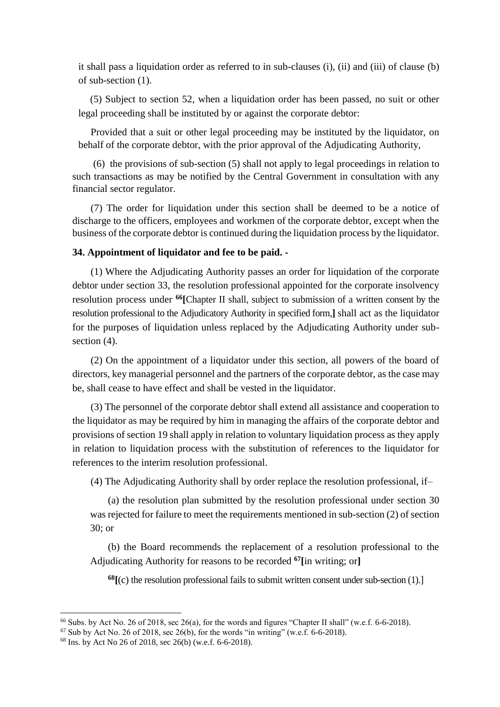it shall pass a liquidation order as referred to in sub-clauses (i), (ii) and (iii) of clause (b) of sub-section (1).

(5) Subject to section 52, when a liquidation order has been passed, no suit or other legal proceeding shall be instituted by or against the corporate debtor:

Provided that a suit or other legal proceeding may be instituted by the liquidator, on behalf of the corporate debtor, with the prior approval of the Adjudicating Authority,

(6) the provisions of sub-section (5) shall not apply to legal proceedings in relation to such transactions as may be notified by the Central Government in consultation with any financial sector regulator.

(7) The order for liquidation under this section shall be deemed to be a notice of discharge to the officers, employees and workmen of the corporate debtor, except when the business of the corporate debtor is continued during the liquidation process by the liquidator.

## **34. Appointment of liquidator and fee to be paid. -**

(1) Where the Adjudicating Authority passes an order for liquidation of the corporate debtor under section 33, the resolution professional appointed for the corporate insolvency resolution process under **<sup>66</sup>[**Chapter II shall, subject to submission of a written consent by the resolution professional to the Adjudicatory Authority in specified form,**]** shall act as the liquidator for the purposes of liquidation unless replaced by the Adjudicating Authority under subsection  $(4)$ .

(2) On the appointment of a liquidator under this section, all powers of the board of directors, key managerial personnel and the partners of the corporate debtor, as the case may be, shall cease to have effect and shall be vested in the liquidator.

(3) The personnel of the corporate debtor shall extend all assistance and cooperation to the liquidator as may be required by him in managing the affairs of the corporate debtor and provisions of section 19 shall apply in relation to voluntary liquidation process as they apply in relation to liquidation process with the substitution of references to the liquidator for references to the interim resolution professional.

(4) The Adjudicating Authority shall by order replace the resolution professional, if–

(a) the resolution plan submitted by the resolution professional under section 30 was rejected for failure to meet the requirements mentioned in sub-section (2) of section 30; or

(b) the Board recommends the replacement of a resolution professional to the Adjudicating Authority for reasons to be recorded **<sup>67</sup>[**in writing; or**]**

**<sup>68</sup>[**(c) the resolution professional fails to submit written consent under sub-section (1).]

<u>.</u>

<sup>&</sup>lt;sup>66</sup> Subs. by Act No. 26 of 2018, sec 26(a), for the words and figures "Chapter II shall" (w.e.f. 6-6-2018).

 $67$  Sub by Act No. 26 of 2018, sec 26(b), for the words "in writing" (w.e.f. 6-6-2018).

<sup>&</sup>lt;sup>68</sup> Ins. by Act No 26 of 2018, sec 26(b) (w.e.f. 6-6-2018).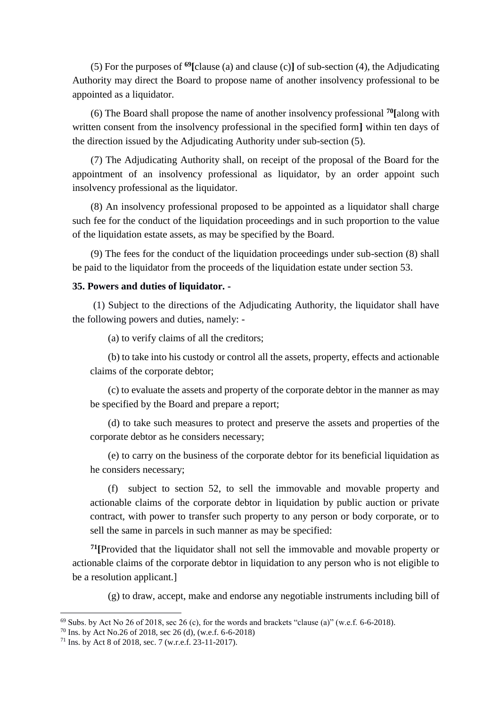(5) For the purposes of **<sup>69</sup>[**clause (a) and clause (c)**]** of sub-section (4), the Adjudicating Authority may direct the Board to propose name of another insolvency professional to be appointed as a liquidator.

(6) The Board shall propose the name of another insolvency professional **<sup>70</sup>[**along with written consent from the insolvency professional in the specified form**]** within ten days of the direction issued by the Adjudicating Authority under sub-section (5).

(7) The Adjudicating Authority shall, on receipt of the proposal of the Board for the appointment of an insolvency professional as liquidator, by an order appoint such insolvency professional as the liquidator.

(8) An insolvency professional proposed to be appointed as a liquidator shall charge such fee for the conduct of the liquidation proceedings and in such proportion to the value of the liquidation estate assets, as may be specified by the Board.

(9) The fees for the conduct of the liquidation proceedings under sub-section (8) shall be paid to the liquidator from the proceeds of the liquidation estate under section 53.

## **35. Powers and duties of liquidator. -**

(1) Subject to the directions of the Adjudicating Authority, the liquidator shall have the following powers and duties, namely: -

(a) to verify claims of all the creditors;

(b) to take into his custody or control all the assets, property, effects and actionable claims of the corporate debtor;

(c) to evaluate the assets and property of the corporate debtor in the manner as may be specified by the Board and prepare a report;

(d) to take such measures to protect and preserve the assets and properties of the corporate debtor as he considers necessary;

(e) to carry on the business of the corporate debtor for its beneficial liquidation as he considers necessary;

(f) subject to section 52, to sell the immovable and movable property and actionable claims of the corporate debtor in liquidation by public auction or private contract, with power to transfer such property to any person or body corporate, or to sell the same in parcels in such manner as may be specified:

**<sup>71</sup>[**Provided that the liquidator shall not sell the immovable and movable property or actionable claims of the corporate debtor in liquidation to any person who is not eligible to be a resolution applicant.]

(g) to draw, accept, make and endorse any negotiable instruments including bill of

<u>.</u>

 $^{69}$  Subs. by Act No 26 of 2018, sec 26 (c), for the words and brackets "clause (a)" (w.e.f. 6-6-2018).

<sup>70</sup> Ins. by Act No.26 of 2018, sec 26 (d), (w.e.f. 6-6-2018)

<sup>71</sup> Ins. by Act 8 of 2018, sec. 7 (w.r.e.f. 23-11-2017).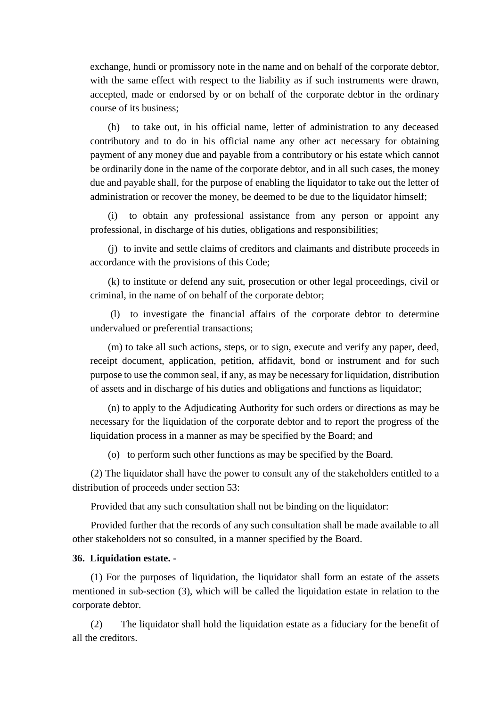exchange, hundi or promissory note in the name and on behalf of the corporate debtor, with the same effect with respect to the liability as if such instruments were drawn, accepted, made or endorsed by or on behalf of the corporate debtor in the ordinary course of its business;

(h) to take out, in his official name, letter of administration to any deceased contributory and to do in his official name any other act necessary for obtaining payment of any money due and payable from a contributory or his estate which cannot be ordinarily done in the name of the corporate debtor, and in all such cases, the money due and payable shall, for the purpose of enabling the liquidator to take out the letter of administration or recover the money, be deemed to be due to the liquidator himself;

(i) to obtain any professional assistance from any person or appoint any professional, in discharge of his duties, obligations and responsibilities;

(j) to invite and settle claims of creditors and claimants and distribute proceeds in accordance with the provisions of this Code;

(k) to institute or defend any suit, prosecution or other legal proceedings, civil or criminal, in the name of on behalf of the corporate debtor;

(l) to investigate the financial affairs of the corporate debtor to determine undervalued or preferential transactions;

(m) to take all such actions, steps, or to sign, execute and verify any paper, deed, receipt document, application, petition, affidavit, bond or instrument and for such purpose to use the common seal, if any, as may be necessary for liquidation, distribution of assets and in discharge of his duties and obligations and functions as liquidator;

(n) to apply to the Adjudicating Authority for such orders or directions as may be necessary for the liquidation of the corporate debtor and to report the progress of the liquidation process in a manner as may be specified by the Board; and

(o) to perform such other functions as may be specified by the Board.

(2) The liquidator shall have the power to consult any of the stakeholders entitled to a distribution of proceeds under section 53:

Provided that any such consultation shall not be binding on the liquidator:

Provided further that the records of any such consultation shall be made available to all other stakeholders not so consulted, in a manner specified by the Board.

## **36. Liquidation estate. -**

(1) For the purposes of liquidation, the liquidator shall form an estate of the assets mentioned in sub-section (3), which will be called the liquidation estate in relation to the corporate debtor.

(2) The liquidator shall hold the liquidation estate as a fiduciary for the benefit of all the creditors.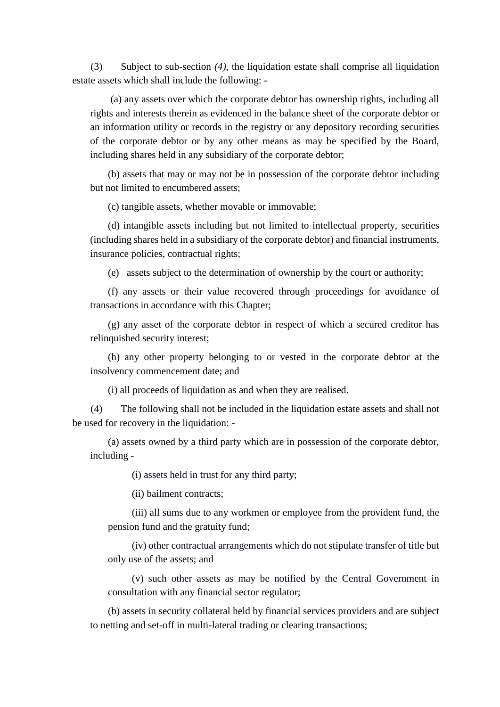(3) Subject to sub-section *(4)*, the liquidation estate shall comprise all liquidation estate assets which shall include the following: -

(a) any assets over which the corporate debtor has ownership rights, including all rights and interests therein as evidenced in the balance sheet of the corporate debtor or an information utility or records in the registry or any depository recording securities of the corporate debtor or by any other means as may be specified by the Board, including shares held in any subsidiary of the corporate debtor;

(b) assets that may or may not be in possession of the corporate debtor including but not limited to encumbered assets;

(c) tangible assets, whether movable or immovable;

(d) intangible assets including but not limited to intellectual property, securities (including shares held in a subsidiary of the corporate debtor) and financial instruments, insurance policies, contractual rights;

(e) assets subject to the determination of ownership by the court or authority;

(f) any assets or their value recovered through proceedings for avoidance of transactions in accordance with this Chapter;

(g) any asset of the corporate debtor in respect of which a secured creditor has relinquished security interest;

(h) any other property belonging to or vested in the corporate debtor at the insolvency commencement date; and

(i) all proceeds of liquidation as and when they are realised.

(4) The following shall not be included in the liquidation estate assets and shall not be used for recovery in the liquidation: -

(a) assets owned by a third party which are in possession of the corporate debtor, including -

(i) assets held in trust for any third party;

(ii) bailment contracts;

(iii) all sums due to any workmen or employee from the provident fund, the pension fund and the gratuity fund;

(iv) other contractual arrangements which do not stipulate transfer of title but only use of the assets; and

(v) such other assets as may be notified by the Central Government in consultation with any financial sector regulator;

(b) assets in security collateral held by financial services providers and are subject to netting and set-off in multi-lateral trading or clearing transactions;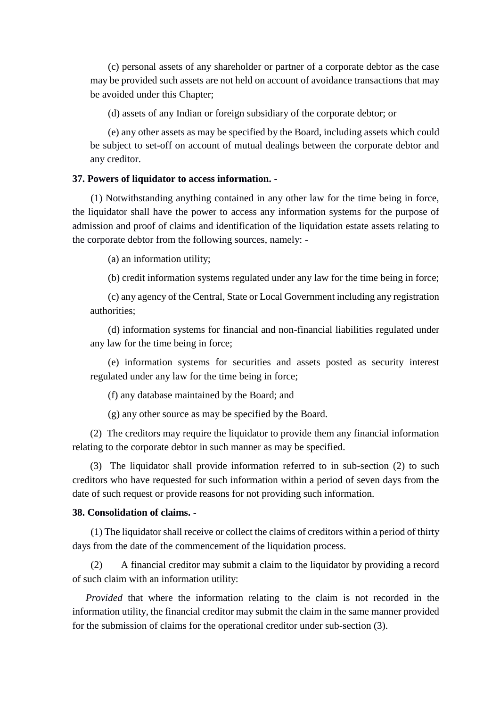(c) personal assets of any shareholder or partner of a corporate debtor as the case may be provided such assets are not held on account of avoidance transactions that may be avoided under this Chapter;

(d) assets of any Indian or foreign subsidiary of the corporate debtor; or

(e) any other assets as may be specified by the Board, including assets which could be subject to set-off on account of mutual dealings between the corporate debtor and any creditor.

## **37. Powers of liquidator to access information. -**

(1) Notwithstanding anything contained in any other law for the time being in force, the liquidator shall have the power to access any information systems for the purpose of admission and proof of claims and identification of the liquidation estate assets relating to the corporate debtor from the following sources, namely: -

(a) an information utility;

(b) credit information systems regulated under any law for the time being in force;

(c) any agency of the Central, State or Local Government including any registration authorities;

(d) information systems for financial and non-financial liabilities regulated under any law for the time being in force;

(e) information systems for securities and assets posted as security interest regulated under any law for the time being in force;

(f) any database maintained by the Board; and

(g) any other source as may be specified by the Board.

(2) The creditors may require the liquidator to provide them any financial information relating to the corporate debtor in such manner as may be specified.

(3) The liquidator shall provide information referred to in sub-section (2) to such creditors who have requested for such information within a period of seven days from the date of such request or provide reasons for not providing such information.

# **38. Consolidation of claims. -**

(1) The liquidator shall receive or collect the claims of creditors within a period of thirty days from the date of the commencement of the liquidation process.

(2) A financial creditor may submit a claim to the liquidator by providing a record of such claim with an information utility:

 *Provided* that where the information relating to the claim is not recorded in the information utility, the financial creditor may submit the claim in the same manner provided for the submission of claims for the operational creditor under sub-section (3).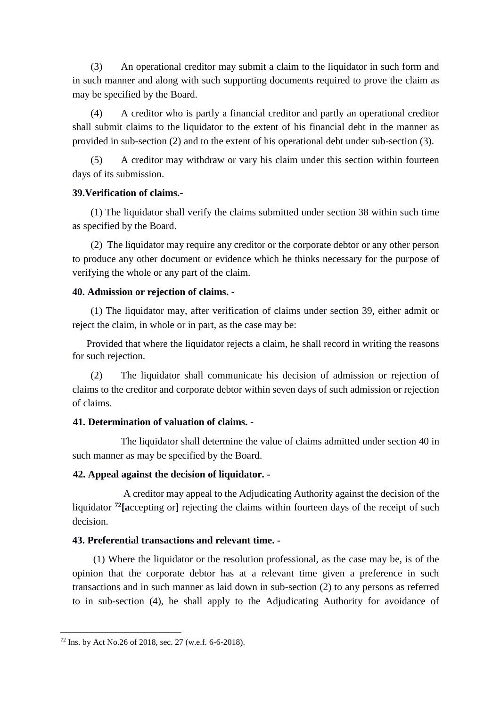(3) An operational creditor may submit a claim to the liquidator in such form and in such manner and along with such supporting documents required to prove the claim as may be specified by the Board.

(4) A creditor who is partly a financial creditor and partly an operational creditor shall submit claims to the liquidator to the extent of his financial debt in the manner as provided in sub-section (2) and to the extent of his operational debt under sub-section (3).

(5) A creditor may withdraw or vary his claim under this section within fourteen days of its submission.

## **39.Verification of claims.-**

(1) The liquidator shall verify the claims submitted under section 38 within such time as specified by the Board.

(2) The liquidator may require any creditor or the corporate debtor or any other person to produce any other document or evidence which he thinks necessary for the purpose of verifying the whole or any part of the claim.

## **40. Admission or rejection of claims. -**

(1) The liquidator may, after verification of claims under section 39, either admit or reject the claim, in whole or in part, as the case may be:

Provided that where the liquidator rejects a claim, he shall record in writing the reasons for such rejection.

(2) The liquidator shall communicate his decision of admission or rejection of claims to the creditor and corporate debtor within seven days of such admission or rejection of claims.

# **41. Determination of valuation of claims. -**

The liquidator shall determine the value of claims admitted under section 40 in such manner as may be specified by the Board.

#### **42. Appeal against the decision of liquidator. -**

A creditor may appeal to the Adjudicating Authority against the decision of the liquidator **<sup>72</sup>[a**ccepting or**]** rejecting the claims within fourteen days of the receipt of such decision.

## **43. Preferential transactions and relevant time. -**

(1) Where the liquidator or the resolution professional, as the case may be, is of the opinion that the corporate debtor has at a relevant time given a preference in such transactions and in such manner as laid down in sub-section (2) to any persons as referred to in sub-section (4), he shall apply to the Adjudicating Authority for avoidance of

<sup>72</sup> Ins. by Act No.26 of 2018, sec. 27 (w.e.f. 6-6-2018).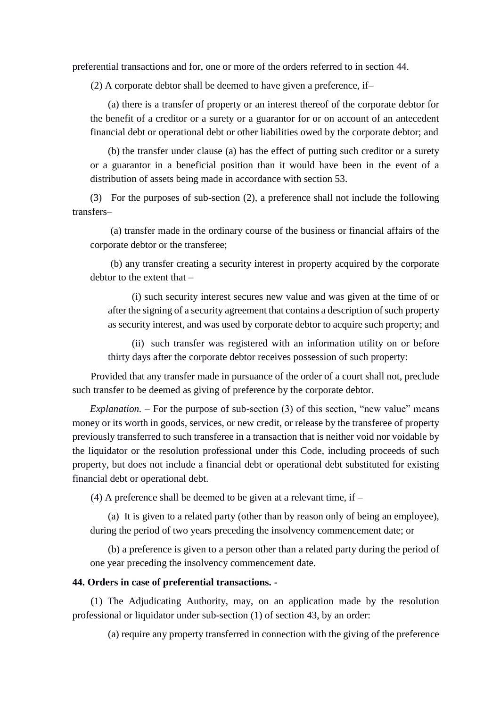preferential transactions and for, one or more of the orders referred to in section 44.

(2) A corporate debtor shall be deemed to have given a preference, if–

(a) there is a transfer of property or an interest thereof of the corporate debtor for the benefit of a creditor or a surety or a guarantor for or on account of an antecedent financial debt or operational debt or other liabilities owed by the corporate debtor; and

(b) the transfer under clause (a) has the effect of putting such creditor or a surety or a guarantor in a beneficial position than it would have been in the event of a distribution of assets being made in accordance with section 53.

(3) For the purposes of sub-section (2), a preference shall not include the following transfers–

(a) transfer made in the ordinary course of the business or financial affairs of the corporate debtor or the transferee;

(b) any transfer creating a security interest in property acquired by the corporate debtor to the extent that –

(i) such security interest secures new value and was given at the time of or after the signing of a security agreement that contains a description of such property as security interest, and was used by corporate debtor to acquire such property; and

(ii) such transfer was registered with an information utility on or before thirty days after the corporate debtor receives possession of such property:

Provided that any transfer made in pursuance of the order of a court shall not, preclude such transfer to be deemed as giving of preference by the corporate debtor.

*Explanation.* – For the purpose of sub-section (3) of this section, "new value" means money or its worth in goods, services, or new credit, or release by the transferee of property previously transferred to such transferee in a transaction that is neither void nor voidable by the liquidator or the resolution professional under this Code, including proceeds of such property, but does not include a financial debt or operational debt substituted for existing financial debt or operational debt.

(4) A preference shall be deemed to be given at a relevant time, if –

(a) It is given to a related party (other than by reason only of being an employee), during the period of two years preceding the insolvency commencement date; or

(b) a preference is given to a person other than a related party during the period of one year preceding the insolvency commencement date.

### **44. Orders in case of preferential transactions. -**

(1) The Adjudicating Authority, may, on an application made by the resolution professional or liquidator under sub-section (1) of section 43, by an order:

(a) require any property transferred in connection with the giving of the preference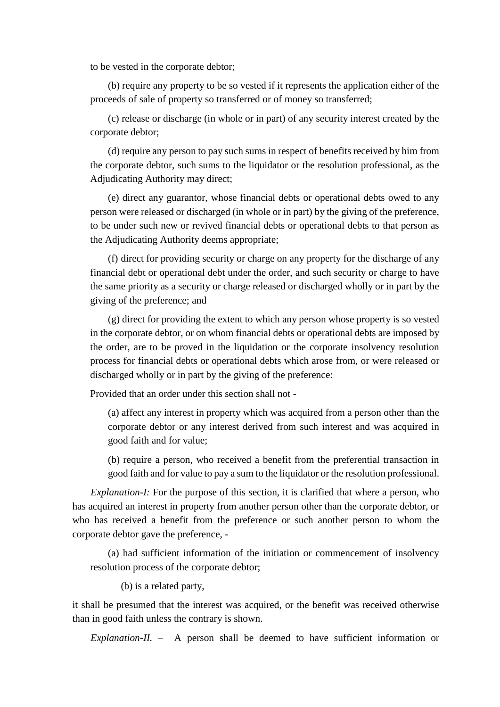to be vested in the corporate debtor;

(b) require any property to be so vested if it represents the application either of the proceeds of sale of property so transferred or of money so transferred;

(c) release or discharge (in whole or in part) of any security interest created by the corporate debtor;

(d) require any person to pay such sums in respect of benefits received by him from the corporate debtor, such sums to the liquidator or the resolution professional, as the Adjudicating Authority may direct;

(e) direct any guarantor, whose financial debts or operational debts owed to any person were released or discharged (in whole or in part) by the giving of the preference, to be under such new or revived financial debts or operational debts to that person as the Adjudicating Authority deems appropriate;

(f) direct for providing security or charge on any property for the discharge of any financial debt or operational debt under the order, and such security or charge to have the same priority as a security or charge released or discharged wholly or in part by the giving of the preference; and

(g) direct for providing the extent to which any person whose property is so vested in the corporate debtor, or on whom financial debts or operational debts are imposed by the order, are to be proved in the liquidation or the corporate insolvency resolution process for financial debts or operational debts which arose from, or were released or discharged wholly or in part by the giving of the preference:

Provided that an order under this section shall not -

(a) affect any interest in property which was acquired from a person other than the corporate debtor or any interest derived from such interest and was acquired in good faith and for value;

(b) require a person, who received a benefit from the preferential transaction in good faith and for value to pay a sum to the liquidator or the resolution professional.

*Explanation-I:* For the purpose of this section, it is clarified that where a person, who has acquired an interest in property from another person other than the corporate debtor, or who has received a benefit from the preference or such another person to whom the corporate debtor gave the preference, -

(a) had sufficient information of the initiation or commencement of insolvency resolution process of the corporate debtor;

(b) is a related party,

it shall be presumed that the interest was acquired, or the benefit was received otherwise than in good faith unless the contrary is shown.

*Explanation-II. –* A person shall be deemed to have sufficient information or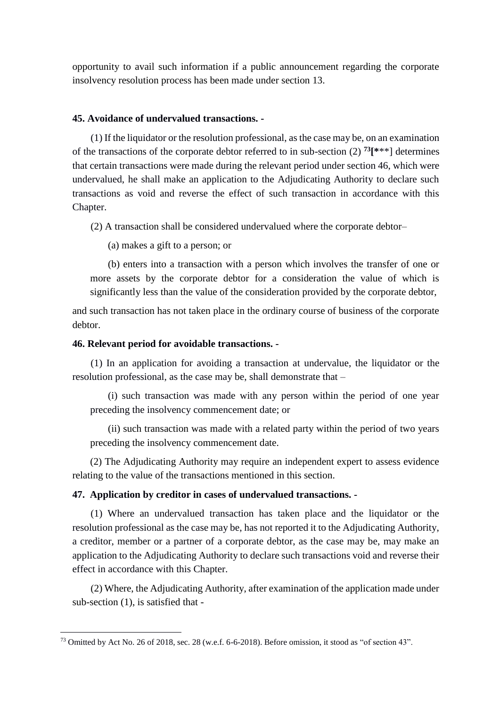opportunity to avail such information if a public announcement regarding the corporate insolvency resolution process has been made under section 13.

# **45. Avoidance of undervalued transactions. -**

(1) If the liquidator or the resolution professional, as the case may be, on an examination of the transactions of the corporate debtor referred to in sub-section (2) **<sup>73</sup>[\***\*\*] determines that certain transactions were made during the relevant period under section 46, which were undervalued, he shall make an application to the Adjudicating Authority to declare such transactions as void and reverse the effect of such transaction in accordance with this Chapter.

(2) A transaction shall be considered undervalued where the corporate debtor–

(a) makes a gift to a person; or

(b) enters into a transaction with a person which involves the transfer of one or more assets by the corporate debtor for a consideration the value of which is significantly less than the value of the consideration provided by the corporate debtor,

and such transaction has not taken place in the ordinary course of business of the corporate debtor.

#### **46. Relevant period for avoidable transactions. -**

1

(1) In an application for avoiding a transaction at undervalue, the liquidator or the resolution professional, as the case may be, shall demonstrate that –

(i) such transaction was made with any person within the period of one year preceding the insolvency commencement date; or

(ii) such transaction was made with a related party within the period of two years preceding the insolvency commencement date.

(2) The Adjudicating Authority may require an independent expert to assess evidence relating to the value of the transactions mentioned in this section.

#### **47. Application by creditor in cases of undervalued transactions. -**

(1) Where an undervalued transaction has taken place and the liquidator or the resolution professional as the case may be, has not reported it to the Adjudicating Authority, a creditor, member or a partner of a corporate debtor, as the case may be, may make an application to the Adjudicating Authority to declare such transactions void and reverse their effect in accordance with this Chapter.

 (2) Where, the Adjudicating Authority, after examination of the application made under sub-section (1), is satisfied that -

<sup>73</sup> Omitted by Act No. 26 of 2018, sec. 28 (w.e.f. 6-6-2018). Before omission, it stood as "of section 43".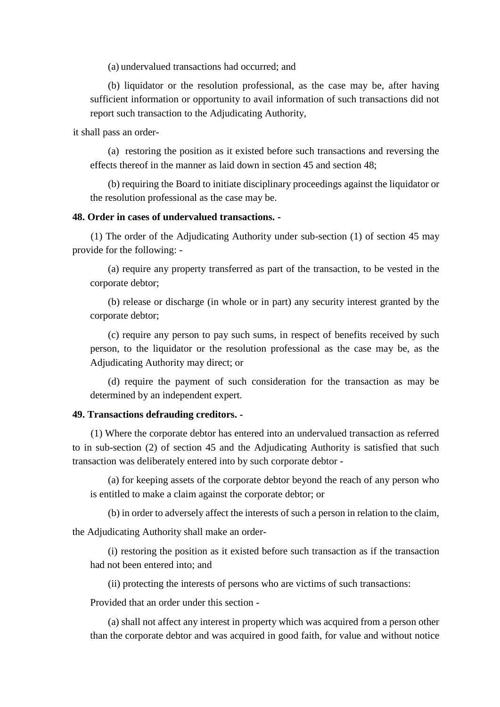(a) undervalued transactions had occurred; and

(b) liquidator or the resolution professional, as the case may be, after having sufficient information or opportunity to avail information of such transactions did not report such transaction to the Adjudicating Authority,

it shall pass an order-

(a) restoring the position as it existed before such transactions and reversing the effects thereof in the manner as laid down in section 45 and section 48;

(b) requiring the Board to initiate disciplinary proceedings against the liquidator or the resolution professional as the case may be.

# **48. Order in cases of undervalued transactions. -**

(1) The order of the Adjudicating Authority under sub-section (1) of section 45 may provide for the following: -

(a) require any property transferred as part of the transaction, to be vested in the corporate debtor;

(b) release or discharge (in whole or in part) any security interest granted by the corporate debtor;

(c) require any person to pay such sums, in respect of benefits received by such person, to the liquidator or the resolution professional as the case may be, as the Adjudicating Authority may direct; or

(d) require the payment of such consideration for the transaction as may be determined by an independent expert.

#### **49. Transactions defrauding creditors. -**

(1) Where the corporate debtor has entered into an undervalued transaction as referred to in sub-section (2) of section 45 and the Adjudicating Authority is satisfied that such transaction was deliberately entered into by such corporate debtor -

(a) for keeping assets of the corporate debtor beyond the reach of any person who is entitled to make a claim against the corporate debtor; or

(b) in order to adversely affect the interests of such a person in relation to the claim, the Adjudicating Authority shall make an order-

(i) restoring the position as it existed before such transaction as if the transaction had not been entered into; and

(ii) protecting the interests of persons who are victims of such transactions:

Provided that an order under this section -

(a) shall not affect any interest in property which was acquired from a person other than the corporate debtor and was acquired in good faith, for value and without notice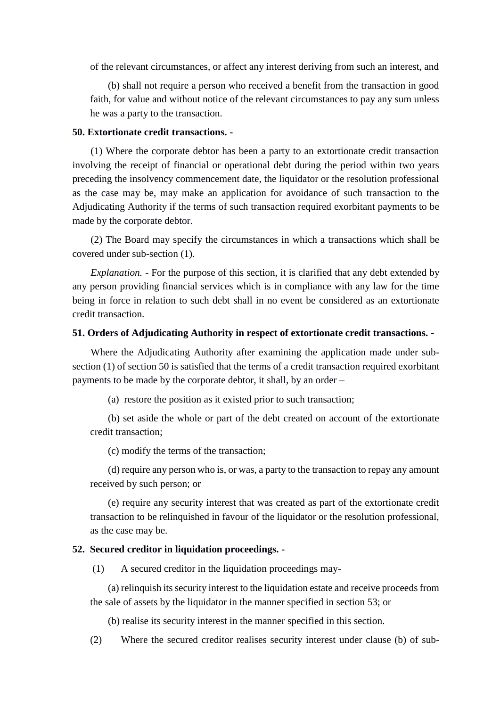of the relevant circumstances, or affect any interest deriving from such an interest, and

(b) shall not require a person who received a benefit from the transaction in good faith, for value and without notice of the relevant circumstances to pay any sum unless he was a party to the transaction.

#### **50. Extortionate credit transactions. -**

(1) Where the corporate debtor has been a party to an extortionate credit transaction involving the receipt of financial or operational debt during the period within two years preceding the insolvency commencement date, the liquidator or the resolution professional as the case may be, may make an application for avoidance of such transaction to the Adjudicating Authority if the terms of such transaction required exorbitant payments to be made by the corporate debtor.

(2) The Board may specify the circumstances in which a transactions which shall be covered under sub-section (1).

*Explanation.* - For the purpose of this section, it is clarified that any debt extended by any person providing financial services which is in compliance with any law for the time being in force in relation to such debt shall in no event be considered as an extortionate credit transaction.

## **51. Orders of Adjudicating Authority in respect of extortionate credit transactions. -**

Where the Adjudicating Authority after examining the application made under subsection (1) of section 50 is satisfied that the terms of a credit transaction required exorbitant payments to be made by the corporate debtor, it shall, by an order –

(a) restore the position as it existed prior to such transaction;

(b) set aside the whole or part of the debt created on account of the extortionate credit transaction;

(c) modify the terms of the transaction;

(d) require any person who is, or was, a party to the transaction to repay any amount received by such person; or

(e) require any security interest that was created as part of the extortionate credit transaction to be relinquished in favour of the liquidator or the resolution professional, as the case may be.

# **52. Secured creditor in liquidation proceedings. -**

(1) A secured creditor in the liquidation proceedings may-

(a) relinquish its security interest to the liquidation estate and receive proceeds from the sale of assets by the liquidator in the manner specified in section 53; or

(b) realise its security interest in the manner specified in this section.

(2) Where the secured creditor realises security interest under clause (b) of sub-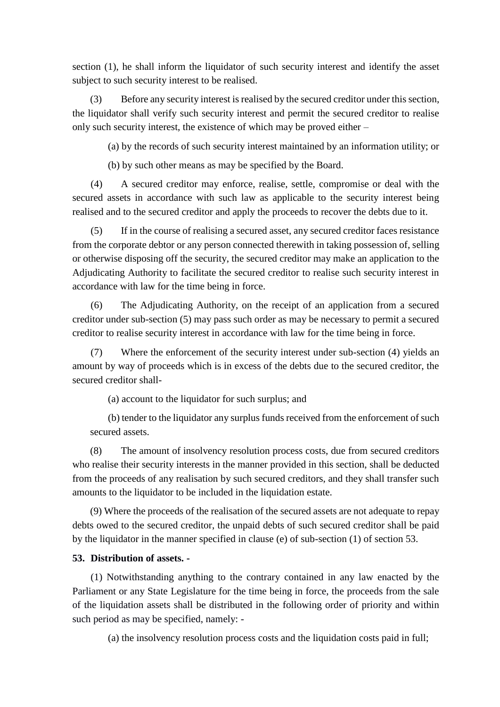section (1), he shall inform the liquidator of such security interest and identify the asset subject to such security interest to be realised.

(3) Before any security interest is realised by the secured creditor under this section, the liquidator shall verify such security interest and permit the secured creditor to realise only such security interest, the existence of which may be proved either –

(a) by the records of such security interest maintained by an information utility; or

(b) by such other means as may be specified by the Board.

(4) A secured creditor may enforce, realise, settle, compromise or deal with the secured assets in accordance with such law as applicable to the security interest being realised and to the secured creditor and apply the proceeds to recover the debts due to it.

(5) If in the course of realising a secured asset, any secured creditor faces resistance from the corporate debtor or any person connected therewith in taking possession of, selling or otherwise disposing off the security, the secured creditor may make an application to the Adjudicating Authority to facilitate the secured creditor to realise such security interest in accordance with law for the time being in force.

(6) The Adjudicating Authority, on the receipt of an application from a secured creditor under sub-section (5) may pass such order as may be necessary to permit a secured creditor to realise security interest in accordance with law for the time being in force.

(7) Where the enforcement of the security interest under sub-section (4) yields an amount by way of proceeds which is in excess of the debts due to the secured creditor, the secured creditor shall-

(a) account to the liquidator for such surplus; and

(b) tender to the liquidator any surplus funds received from the enforcement of such secured assets.

(8) The amount of insolvency resolution process costs, due from secured creditors who realise their security interests in the manner provided in this section, shall be deducted from the proceeds of any realisation by such secured creditors, and they shall transfer such amounts to the liquidator to be included in the liquidation estate.

(9) Where the proceeds of the realisation of the secured assets are not adequate to repay debts owed to the secured creditor, the unpaid debts of such secured creditor shall be paid by the liquidator in the manner specified in clause (e) of sub-section (1) of section 53.

## **53. Distribution of assets. -**

(1) Notwithstanding anything to the contrary contained in any law enacted by the Parliament or any State Legislature for the time being in force, the proceeds from the sale of the liquidation assets shall be distributed in the following order of priority and within such period as may be specified, namely: -

(a) the insolvency resolution process costs and the liquidation costs paid in full;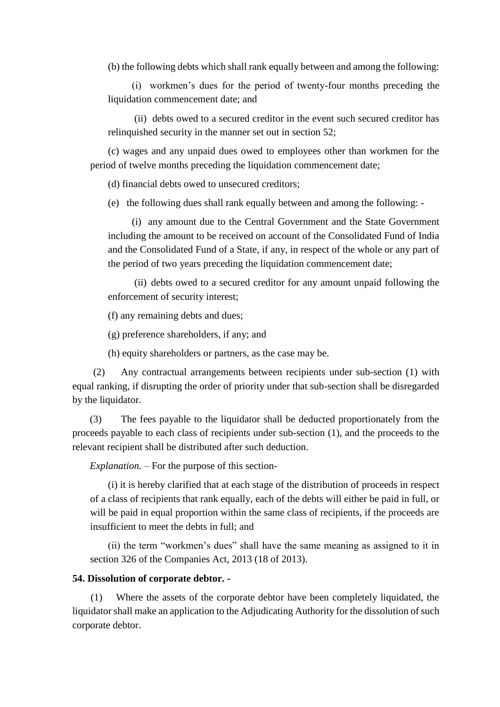(b) the following debts which shall rank equally between and among the following:

(i) workmen's dues for the period of twenty-four months preceding the liquidation commencement date; and

(ii) debts owed to a secured creditor in the event such secured creditor has relinquished security in the manner set out in section 52;

(c) wages and any unpaid dues owed to employees other than workmen for the period of twelve months preceding the liquidation commencement date;

(d) financial debts owed to unsecured creditors;

(e) the following dues shall rank equally between and among the following: -

(i) any amount due to the Central Government and the State Government including the amount to be received on account of the Consolidated Fund of India and the Consolidated Fund of a State, if any, in respect of the whole or any part of the period of two years preceding the liquidation commencement date;

(ii) debts owed to a secured creditor for any amount unpaid following the enforcement of security interest;

(f) any remaining debts and dues;

(g) preference shareholders, if any; and

(h) equity shareholders or partners, as the case may be.

(2) Any contractual arrangements between recipients under sub-section (1) with equal ranking, if disrupting the order of priority under that sub-section shall be disregarded by the liquidator.

(3) The fees payable to the liquidator shall be deducted proportionately from the proceeds payable to each class of recipients under sub-section (1), and the proceeds to the relevant recipient shall be distributed after such deduction.

*Explanation. –* For the purpose of this section-

(i) it is hereby clarified that at each stage of the distribution of proceeds in respect of a class of recipients that rank equally, each of the debts will either be paid in full, or will be paid in equal proportion within the same class of recipients, if the proceeds are insufficient to meet the debts in full; and

(ii) the term "workmen's dues" shall have the same meaning as assigned to it in section 326 of the Companies Act, 2013 (18 of 2013).

#### **54. Dissolution of corporate debtor. -**

(1) Where the assets of the corporate debtor have been completely liquidated, the liquidator shall make an application to the Adjudicating Authority for the dissolution of such corporate debtor.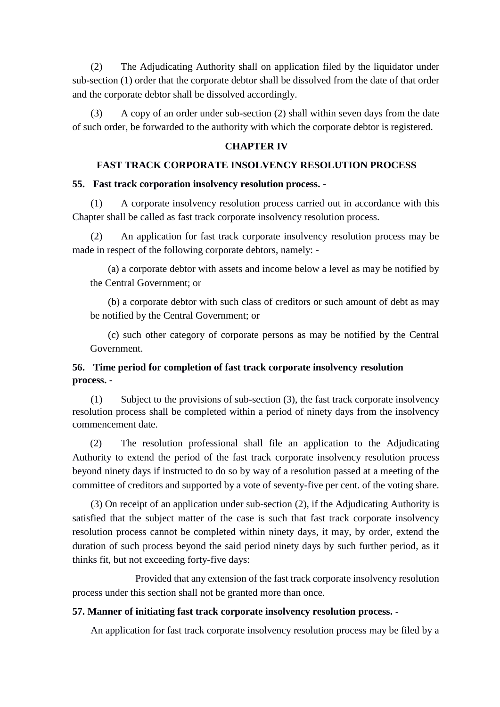(2) The Adjudicating Authority shall on application filed by the liquidator under sub-section (1) order that the corporate debtor shall be dissolved from the date of that order and the corporate debtor shall be dissolved accordingly.

(3) A copy of an order under sub-section (2) shall within seven days from the date of such order, be forwarded to the authority with which the corporate debtor is registered.

# **CHAPTER IV**

# **FAST TRACK CORPORATE INSOLVENCY RESOLUTION PROCESS**

# **55. Fast track corporation insolvency resolution process. -**

(1) A corporate insolvency resolution process carried out in accordance with this Chapter shall be called as fast track corporate insolvency resolution process.

(2) An application for fast track corporate insolvency resolution process may be made in respect of the following corporate debtors, namely: -

(a) a corporate debtor with assets and income below a level as may be notified by the Central Government; or

(b) a corporate debtor with such class of creditors or such amount of debt as may be notified by the Central Government; or

(c) such other category of corporate persons as may be notified by the Central Government.

# **56. Time period for completion of fast track corporate insolvency resolution process. -**

(1) Subject to the provisions of sub-section (3), the fast track corporate insolvency resolution process shall be completed within a period of ninety days from the insolvency commencement date.

(2) The resolution professional shall file an application to the Adjudicating Authority to extend the period of the fast track corporate insolvency resolution process beyond ninety days if instructed to do so by way of a resolution passed at a meeting of the committee of creditors and supported by a vote of seventy-five per cent. of the voting share.

(3) On receipt of an application under sub-section (2), if the Adjudicating Authority is satisfied that the subject matter of the case is such that fast track corporate insolvency resolution process cannot be completed within ninety days, it may, by order, extend the duration of such process beyond the said period ninety days by such further period, as it thinks fit, but not exceeding forty-five days:

 Provided that any extension of the fast track corporate insolvency resolution process under this section shall not be granted more than once.

# **57. Manner of initiating fast track corporate insolvency resolution process. -**

An application for fast track corporate insolvency resolution process may be filed by a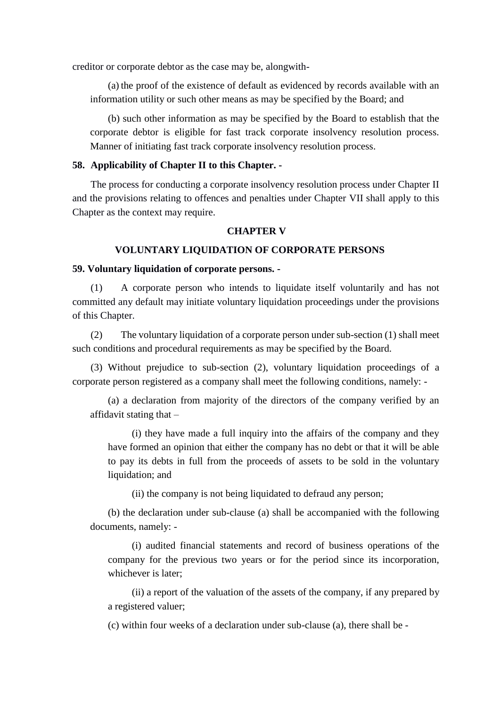creditor or corporate debtor as the case may be, alongwith-

(a) the proof of the existence of default as evidenced by records available with an information utility or such other means as may be specified by the Board; and

(b) such other information as may be specified by the Board to establish that the corporate debtor is eligible for fast track corporate insolvency resolution process. Manner of initiating fast track corporate insolvency resolution process.

# **58. Applicability of Chapter II to this Chapter. -**

The process for conducting a corporate insolvency resolution process under Chapter II and the provisions relating to offences and penalties under Chapter VII shall apply to this Chapter as the context may require.

#### **CHAPTER V**

# **VOLUNTARY LIQUIDATION OF CORPORATE PERSONS**

#### **59. Voluntary liquidation of corporate persons. -**

(1) A corporate person who intends to liquidate itself voluntarily and has not committed any default may initiate voluntary liquidation proceedings under the provisions of this Chapter.

(2) The voluntary liquidation of a corporate person under sub-section (1) shall meet such conditions and procedural requirements as may be specified by the Board.

(3) Without prejudice to sub-section (2), voluntary liquidation proceedings of a corporate person registered as a company shall meet the following conditions, namely: -

(a) a declaration from majority of the directors of the company verified by an affidavit stating that –

(i) they have made a full inquiry into the affairs of the company and they have formed an opinion that either the company has no debt or that it will be able to pay its debts in full from the proceeds of assets to be sold in the voluntary liquidation; and

(ii) the company is not being liquidated to defraud any person;

(b) the declaration under sub-clause (a) shall be accompanied with the following documents, namely: -

(i) audited financial statements and record of business operations of the company for the previous two years or for the period since its incorporation, whichever is later;

(ii) a report of the valuation of the assets of the company, if any prepared by a registered valuer;

(c) within four weeks of a declaration under sub-clause (a), there shall be -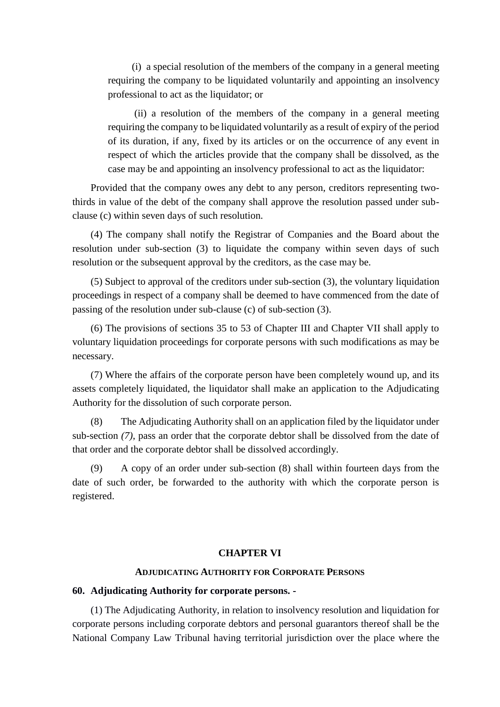(i) a special resolution of the members of the company in a general meeting requiring the company to be liquidated voluntarily and appointing an insolvency professional to act as the liquidator; or

(ii) a resolution of the members of the company in a general meeting requiring the company to be liquidated voluntarily as a result of expiry of the period of its duration, if any, fixed by its articles or on the occurrence of any event in respect of which the articles provide that the company shall be dissolved, as the case may be and appointing an insolvency professional to act as the liquidator:

Provided that the company owes any debt to any person, creditors representing twothirds in value of the debt of the company shall approve the resolution passed under subclause (c) within seven days of such resolution.

(4) The company shall notify the Registrar of Companies and the Board about the resolution under sub-section (3) to liquidate the company within seven days of such resolution or the subsequent approval by the creditors, as the case may be.

(5) Subject to approval of the creditors under sub-section (3), the voluntary liquidation proceedings in respect of a company shall be deemed to have commenced from the date of passing of the resolution under sub-clause (c) of sub-section (3).

(6) The provisions of sections 35 to 53 of Chapter III and Chapter VII shall apply to voluntary liquidation proceedings for corporate persons with such modifications as may be necessary.

(7) Where the affairs of the corporate person have been completely wound up, and its assets completely liquidated, the liquidator shall make an application to the Adjudicating Authority for the dissolution of such corporate person.

(8) The Adjudicating Authority shall on an application filed by the liquidator under sub-section *(7)*, pass an order that the corporate debtor shall be dissolved from the date of that order and the corporate debtor shall be dissolved accordingly.

(9) A copy of an order under sub-section (8) shall within fourteen days from the date of such order, be forwarded to the authority with which the corporate person is registered.

#### **CHAPTER VI**

## **ADJUDICATING AUTHORITY FOR CORPORATE PERSONS**

#### **60. Adjudicating Authority for corporate persons. -**

(1) The Adjudicating Authority, in relation to insolvency resolution and liquidation for corporate persons including corporate debtors and personal guarantors thereof shall be the National Company Law Tribunal having territorial jurisdiction over the place where the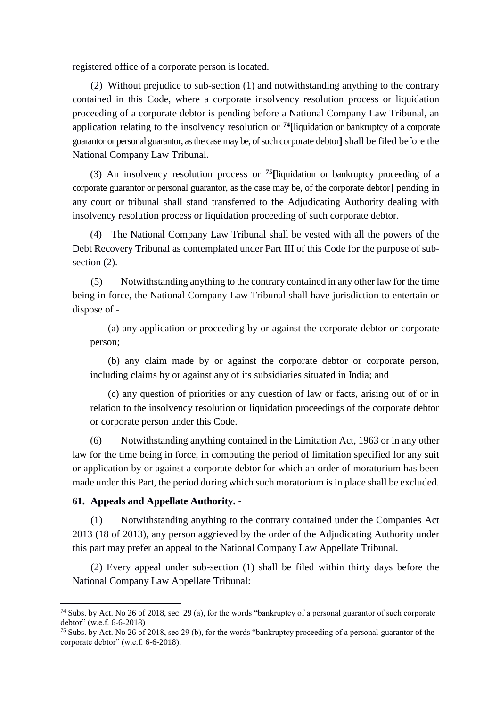registered office of a corporate person is located.

(2) Without prejudice to sub-section (1) and notwithstanding anything to the contrary contained in this Code, where a corporate insolvency resolution process or liquidation proceeding of a corporate debtor is pending before a National Company Law Tribunal, an application relating to the insolvency resolution or **<sup>74</sup>[**liquidation or bankruptcy of a corporate guarantor or personal guarantor, as the case may be, of such corporate debtor**]** shall be filed before the National Company Law Tribunal.

(3) An insolvency resolution process or **<sup>75</sup>[**liquidation or bankruptcy proceeding of a corporate guarantor or personal guarantor, as the case may be, of the corporate debtor] pending in any court or tribunal shall stand transferred to the Adjudicating Authority dealing with insolvency resolution process or liquidation proceeding of such corporate debtor.

(4) The National Company Law Tribunal shall be vested with all the powers of the Debt Recovery Tribunal as contemplated under Part III of this Code for the purpose of subsection  $(2)$ .

(5) Notwithstanding anything to the contrary contained in any other law for the time being in force, the National Company Law Tribunal shall have jurisdiction to entertain or dispose of -

(a) any application or proceeding by or against the corporate debtor or corporate person;

(b) any claim made by or against the corporate debtor or corporate person, including claims by or against any of its subsidiaries situated in India; and

(c) any question of priorities or any question of law or facts, arising out of or in relation to the insolvency resolution or liquidation proceedings of the corporate debtor or corporate person under this Code.

(6) Notwithstanding anything contained in the Limitation Act, 1963 or in any other law for the time being in force, in computing the period of limitation specified for any suit or application by or against a corporate debtor for which an order of moratorium has been made under this Part, the period during which such moratorium is in place shall be excluded.

## **61. Appeals and Appellate Authority. -**

1

(1) Notwithstanding anything to the contrary contained under the Companies Act 2013 (18 of 2013), any person aggrieved by the order of the Adjudicating Authority under this part may prefer an appeal to the National Company Law Appellate Tribunal.

(2) Every appeal under sub-section (1) shall be filed within thirty days before the National Company Law Appellate Tribunal:

<sup>74</sup> Subs. by Act. No 26 of 2018, sec. 29 (a), for the words "bankruptcy of a personal guarantor of such corporate debtor" (w.e.f. 6-6-2018)

<sup>&</sup>lt;sup>75</sup> Subs. by Act. No 26 of 2018, sec 29 (b), for the words "bankruptcy proceeding of a personal guarantor of the corporate debtor" (w.e.f. 6-6-2018).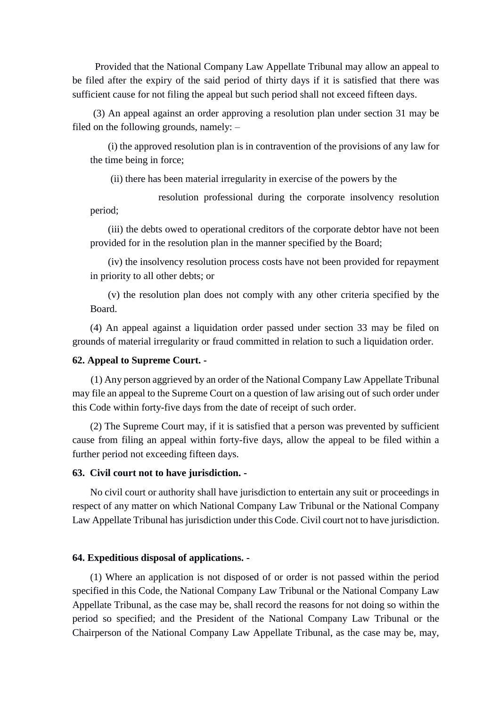Provided that the National Company Law Appellate Tribunal may allow an appeal to be filed after the expiry of the said period of thirty days if it is satisfied that there was sufficient cause for not filing the appeal but such period shall not exceed fifteen days.

(3) An appeal against an order approving a resolution plan under section 31 may be filed on the following grounds, namely: –

(i) the approved resolution plan is in contravention of the provisions of any law for the time being in force;

(ii) there has been material irregularity in exercise of the powers by the

 resolution professional during the corporate insolvency resolution period;

(iii) the debts owed to operational creditors of the corporate debtor have not been provided for in the resolution plan in the manner specified by the Board;

(iv) the insolvency resolution process costs have not been provided for repayment in priority to all other debts; or

(v) the resolution plan does not comply with any other criteria specified by the Board.

(4) An appeal against a liquidation order passed under section 33 may be filed on grounds of material irregularity or fraud committed in relation to such a liquidation order.

#### **62. Appeal to Supreme Court. -**

(1) Any person aggrieved by an order of the National Company Law Appellate Tribunal may file an appeal to the Supreme Court on a question of law arising out of such order under this Code within forty-five days from the date of receipt of such order.

(2) The Supreme Court may, if it is satisfied that a person was prevented by sufficient cause from filing an appeal within forty-five days, allow the appeal to be filed within a further period not exceeding fifteen days.

## **63. Civil court not to have jurisdiction. -**

No civil court or authority shall have jurisdiction to entertain any suit or proceedings in respect of any matter on which National Company Law Tribunal or the National Company Law Appellate Tribunal has jurisdiction under this Code. Civil court not to have jurisdiction.

## **64. Expeditious disposal of applications. -**

(1) Where an application is not disposed of or order is not passed within the period specified in this Code, the National Company Law Tribunal or the National Company Law Appellate Tribunal, as the case may be, shall record the reasons for not doing so within the period so specified; and the President of the National Company Law Tribunal or the Chairperson of the National Company Law Appellate Tribunal, as the case may be, may,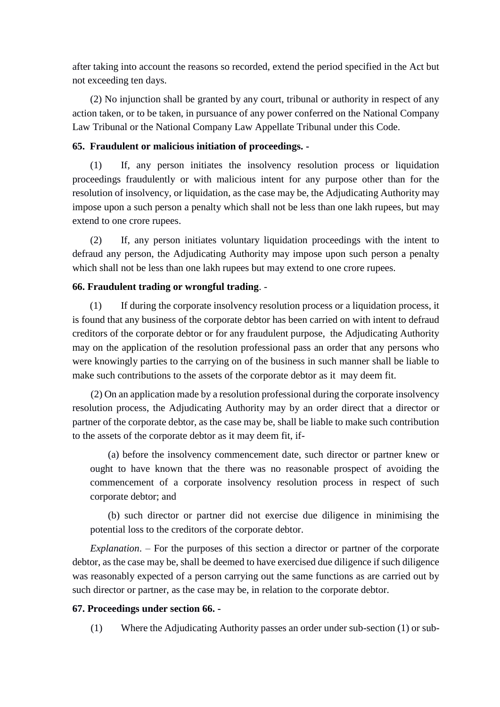after taking into account the reasons so recorded, extend the period specified in the Act but not exceeding ten days.

(2) No injunction shall be granted by any court, tribunal or authority in respect of any action taken, or to be taken, in pursuance of any power conferred on the National Company Law Tribunal or the National Company Law Appellate Tribunal under this Code.

# **65. Fraudulent or malicious initiation of proceedings. -**

(1) If, any person initiates the insolvency resolution process or liquidation proceedings fraudulently or with malicious intent for any purpose other than for the resolution of insolvency, or liquidation, as the case may be, the Adjudicating Authority may impose upon a such person a penalty which shall not be less than one lakh rupees, but may extend to one crore rupees.

(2) If, any person initiates voluntary liquidation proceedings with the intent to defraud any person, the Adjudicating Authority may impose upon such person a penalty which shall not be less than one lakh rupees but may extend to one crore rupees.

# **66. Fraudulent trading or wrongful trading**. -

(1) If during the corporate insolvency resolution process or a liquidation process, it is found that any business of the corporate debtor has been carried on with intent to defraud creditors of the corporate debtor or for any fraudulent purpose, the Adjudicating Authority may on the application of the resolution professional pass an order that any persons who were knowingly parties to the carrying on of the business in such manner shall be liable to make such contributions to the assets of the corporate debtor as it may deem fit.

(2) On an application made by a resolution professional during the corporate insolvency resolution process, the Adjudicating Authority may by an order direct that a director or partner of the corporate debtor, as the case may be, shall be liable to make such contribution to the assets of the corporate debtor as it may deem fit, if-

(a) before the insolvency commencement date, such director or partner knew or ought to have known that the there was no reasonable prospect of avoiding the commencement of a corporate insolvency resolution process in respect of such corporate debtor; and

(b) such director or partner did not exercise due diligence in minimising the potential loss to the creditors of the corporate debtor.

*Explanation*. – For the purposes of this section a director or partner of the corporate debtor, as the case may be, shall be deemed to have exercised due diligence if such diligence was reasonably expected of a person carrying out the same functions as are carried out by such director or partner, as the case may be, in relation to the corporate debtor.

# **67. Proceedings under section 66. -**

(1) Where the Adjudicating Authority passes an order under sub-section (1) or sub-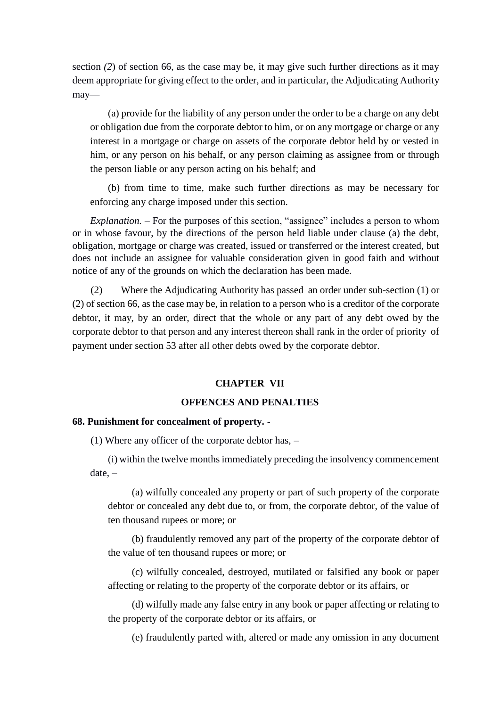section *(2*) of section 66, as the case may be, it may give such further directions as it may deem appropriate for giving effect to the order, and in particular, the Adjudicating Authority may—

(a) provide for the liability of any person under the order to be a charge on any debt or obligation due from the corporate debtor to him, or on any mortgage or charge or any interest in a mortgage or charge on assets of the corporate debtor held by or vested in him, or any person on his behalf, or any person claiming as assignee from or through the person liable or any person acting on his behalf; and

(b) from time to time, make such further directions as may be necessary for enforcing any charge imposed under this section.

*Explanation.* – For the purposes of this section, "assignee" includes a person to whom or in whose favour, by the directions of the person held liable under clause (a) the debt, obligation, mortgage or charge was created, issued or transferred or the interest created, but does not include an assignee for valuable consideration given in good faith and without notice of any of the grounds on which the declaration has been made.

(2) Where the Adjudicating Authority has passed an order under sub-section (1) or (2) of section 66, as the case may be, in relation to a person who is a creditor of the corporate debtor, it may, by an order, direct that the whole or any part of any debt owed by the corporate debtor to that person and any interest thereon shall rank in the order of priority of payment under section 53 after all other debts owed by the corporate debtor.

## **CHAPTER VII**

# **OFFENCES AND PENALTIES**

#### **68. Punishment for concealment of property. -**

(1) Where any officer of the corporate debtor has, –

(i) within the twelve months immediately preceding the insolvency commencement date, –

(a) wilfully concealed any property or part of such property of the corporate debtor or concealed any debt due to, or from, the corporate debtor, of the value of ten thousand rupees or more; or

(b) fraudulently removed any part of the property of the corporate debtor of the value of ten thousand rupees or more; or

(c) wilfully concealed, destroyed, mutilated or falsified any book or paper affecting or relating to the property of the corporate debtor or its affairs, or

(d) wilfully made any false entry in any book or paper affecting or relating to the property of the corporate debtor or its affairs, or

(e) fraudulently parted with, altered or made any omission in any document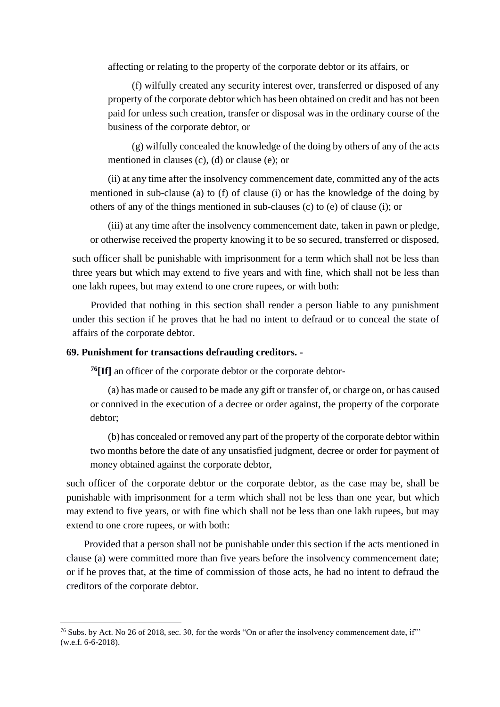affecting or relating to the property of the corporate debtor or its affairs, or

(f) wilfully created any security interest over, transferred or disposed of any property of the corporate debtor which has been obtained on credit and has not been paid for unless such creation, transfer or disposal was in the ordinary course of the business of the corporate debtor, or

(g) wilfully concealed the knowledge of the doing by others of any of the acts mentioned in clauses (c), (d) or clause (e); or

(ii) at any time after the insolvency commencement date, committed any of the acts mentioned in sub-clause (a) to (f) of clause (i) or has the knowledge of the doing by others of any of the things mentioned in sub-clauses (c) to (e) of clause (i); or

(iii) at any time after the insolvency commencement date, taken in pawn or pledge, or otherwise received the property knowing it to be so secured, transferred or disposed,

such officer shall be punishable with imprisonment for a term which shall not be less than three years but which may extend to five years and with fine, which shall not be less than one lakh rupees, but may extend to one crore rupees, or with both:

Provided that nothing in this section shall render a person liable to any punishment under this section if he proves that he had no intent to defraud or to conceal the state of affairs of the corporate debtor.

#### **69. Punishment for transactions defrauding creditors. -**

1

**<sup>76</sup>[If]** an officer of the corporate debtor or the corporate debtor-

(a) has made or caused to be made any gift or transfer of, or charge on, or has caused or connived in the execution of a decree or order against, the property of the corporate debtor;

(b)has concealed or removed any part of the property of the corporate debtor within two months before the date of any unsatisfied judgment, decree or order for payment of money obtained against the corporate debtor,

such officer of the corporate debtor or the corporate debtor, as the case may be, shall be punishable with imprisonment for a term which shall not be less than one year, but which may extend to five years, or with fine which shall not be less than one lakh rupees, but may extend to one crore rupees, or with both:

Provided that a person shall not be punishable under this section if the acts mentioned in clause (a) were committed more than five years before the insolvency commencement date; or if he proves that, at the time of commission of those acts, he had no intent to defraud the creditors of the corporate debtor.

<sup>&</sup>lt;sup>76</sup> Subs. by Act. No 26 of 2018, sec. 30, for the words "On or after the insolvency commencement date, if" (w.e.f. 6-6-2018).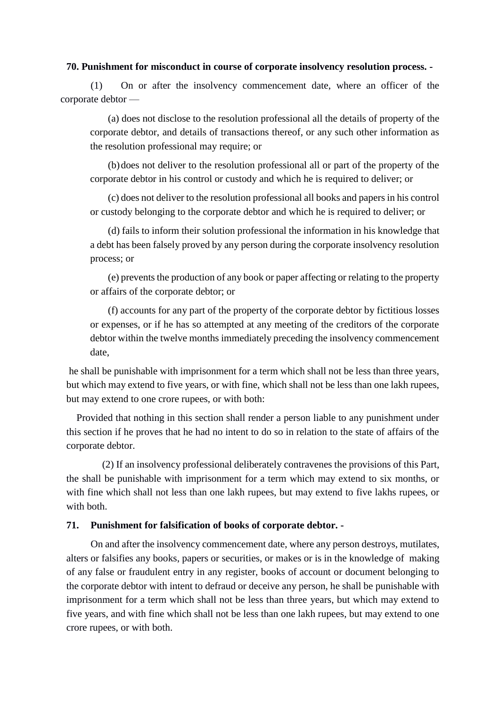## **70. Punishment for misconduct in course of corporate insolvency resolution process. -**

(1) On or after the insolvency commencement date, where an officer of the corporate debtor —

(a) does not disclose to the resolution professional all the details of property of the corporate debtor, and details of transactions thereof, or any such other information as the resolution professional may require; or

(b)does not deliver to the resolution professional all or part of the property of the corporate debtor in his control or custody and which he is required to deliver; or

(c) does not deliver to the resolution professional all books and papers in his control or custody belonging to the corporate debtor and which he is required to deliver; or

(d) fails to inform their solution professional the information in his knowledge that a debt has been falsely proved by any person during the corporate insolvency resolution process; or

(e) prevents the production of any book or paper affecting or relating to the property or affairs of the corporate debtor; or

(f) accounts for any part of the property of the corporate debtor by fictitious losses or expenses, or if he has so attempted at any meeting of the creditors of the corporate debtor within the twelve months immediately preceding the insolvency commencement date,

he shall be punishable with imprisonment for a term which shall not be less than three years, but which may extend to five years, or with fine, which shall not be less than one lakh rupees, but may extend to one crore rupees, or with both:

 Provided that nothing in this section shall render a person liable to any punishment under this section if he proves that he had no intent to do so in relation to the state of affairs of the corporate debtor.

(2) If an insolvency professional deliberately contravenes the provisions of this Part, the shall be punishable with imprisonment for a term which may extend to six months, or with fine which shall not less than one lakh rupees, but may extend to five lakhs rupees, or with both.

#### **71. Punishment for falsification of books of corporate debtor. -**

On and after the insolvency commencement date, where any person destroys, mutilates, alters or falsifies any books, papers or securities, or makes or is in the knowledge of making of any false or fraudulent entry in any register, books of account or document belonging to the corporate debtor with intent to defraud or deceive any person, he shall be punishable with imprisonment for a term which shall not be less than three years, but which may extend to five years, and with fine which shall not be less than one lakh rupees, but may extend to one crore rupees, or with both.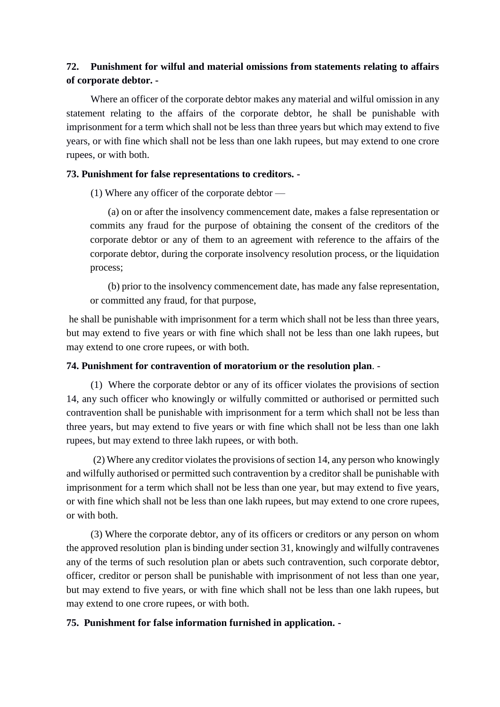# **72. Punishment for wilful and material omissions from statements relating to affairs of corporate debtor. -**

Where an officer of the corporate debtor makes any material and wilful omission in any statement relating to the affairs of the corporate debtor, he shall be punishable with imprisonment for a term which shall not be less than three years but which may extend to five years, or with fine which shall not be less than one lakh rupees, but may extend to one crore rupees, or with both.

# **73. Punishment for false representations to creditors. -**

(1) Where any officer of the corporate debtor —

(a) on or after the insolvency commencement date, makes a false representation or commits any fraud for the purpose of obtaining the consent of the creditors of the corporate debtor or any of them to an agreement with reference to the affairs of the corporate debtor, during the corporate insolvency resolution process, or the liquidation process;

(b) prior to the insolvency commencement date, has made any false representation, or committed any fraud, for that purpose,

he shall be punishable with imprisonment for a term which shall not be less than three years, but may extend to five years or with fine which shall not be less than one lakh rupees, but may extend to one crore rupees, or with both.

# **74. Punishment for contravention of moratorium or the resolution plan**. -

(1) Where the corporate debtor or any of its officer violates the provisions of section 14, any such officer who knowingly or wilfully committed or authorised or permitted such contravention shall be punishable with imprisonment for a term which shall not be less than three years, but may extend to five years or with fine which shall not be less than one lakh rupees, but may extend to three lakh rupees, or with both.

(2) Where any creditor violates the provisions of section 14, any person who knowingly and wilfully authorised or permitted such contravention by a creditor shall be punishable with imprisonment for a term which shall not be less than one year, but may extend to five years, or with fine which shall not be less than one lakh rupees, but may extend to one crore rupees, or with both.

(3) Where the corporate debtor, any of its officers or creditors or any person on whom the approved resolution plan is binding under section 31, knowingly and wilfully contravenes any of the terms of such resolution plan or abets such contravention, such corporate debtor, officer, creditor or person shall be punishable with imprisonment of not less than one year, but may extend to five years, or with fine which shall not be less than one lakh rupees, but may extend to one crore rupees, or with both.

# **75. Punishment for false information furnished in application. -**